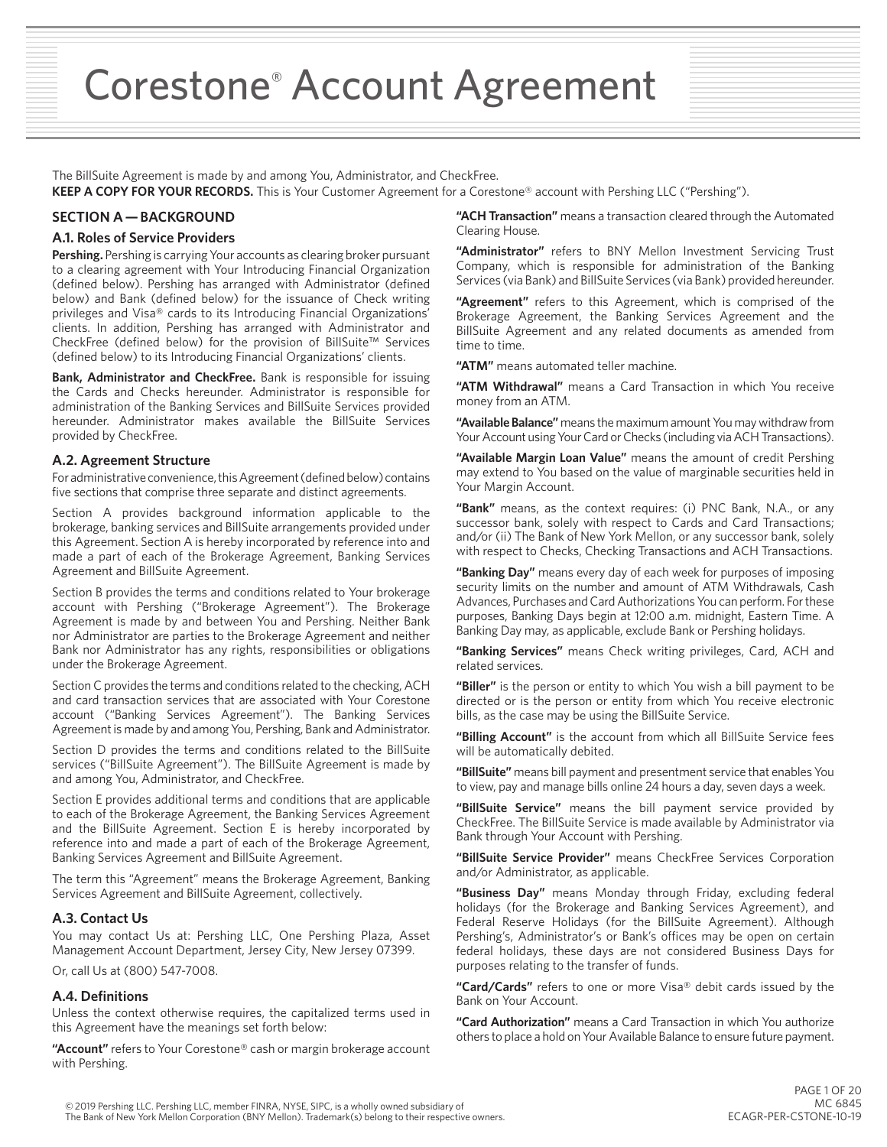Corestone® Account Agreement

The BillSuite Agreement is made by and among You, Administrator, and CheckFree.

**KEEP A COPY FOR YOUR RECORDS.** This is Your Customer Agreement for a Corestone® account with Pershing LLC ("Pershing").

# **SECTION A — BACKGROUND**

## **A.1. Roles of Service Providers**

**Pershing.** Pershing is carrying Your accounts as clearing broker pursuant to a clearing agreement with Your Introducing Financial Organization (defined below). Pershing has arranged with Administrator (defined below) and Bank (defined below) for the issuance of Check writing privileges and Visa® cards to its Introducing Financial Organizations' clients. In addition, Pershing has arranged with Administrator and CheckFree (defined below) for the provision of BillSuite™ Services (defined below) to its Introducing Financial Organizations' clients.

**Bank, Administrator and CheckFree.** Bank is responsible for issuing the Cards and Checks hereunder. Administrator is responsible for administration of the Banking Services and BillSuite Services provided hereunder. Administrator makes available the BillSuite Services provided by CheckFree.

#### **A.2. Agreement Structure**

For administrative convenience, this Agreement (defined below) contains five sections that comprise three separate and distinct agreements.

Section A provides background information applicable to the brokerage, banking services and BillSuite arrangements provided under this Agreement. Section A is hereby incorporated by reference into and made a part of each of the Brokerage Agreement, Banking Services Agreement and BillSuite Agreement.

Section B provides the terms and conditions related to Your brokerage account with Pershing ("Brokerage Agreement"). The Brokerage Agreement is made by and between You and Pershing. Neither Bank nor Administrator are parties to the Brokerage Agreement and neither Bank nor Administrator has any rights, responsibilities or obligations under the Brokerage Agreement.

Section C provides the terms and conditions related to the checking, ACH and card transaction services that are associated with Your Corestone account ("Banking Services Agreement"). The Banking Services Agreement is made by and among You, Pershing, Bank and Administrator.

Section D provides the terms and conditions related to the BillSuite services ("BillSuite Agreement"). The BillSuite Agreement is made by and among You, Administrator, and CheckFree.

Section E provides additional terms and conditions that are applicable to each of the Brokerage Agreement, the Banking Services Agreement and the BillSuite Agreement. Section E is hereby incorporated by reference into and made a part of each of the Brokerage Agreement, Banking Services Agreement and BillSuite Agreement.

The term this "Agreement" means the Brokerage Agreement, Banking Services Agreement and BillSuite Agreement, collectively.

#### **A.3. Contact Us**

You may contact Us at: Pershing LLC, One Pershing Plaza, Asset Management Account Department, Jersey City, New Jersey 07399.

Or, call Us at (800) 547-7008.

## **A.4. Definitions**

Unless the context otherwise requires, the capitalized terms used in this Agreement have the meanings set forth below:

**"Account"** refers to Your Corestone® cash or margin brokerage account with Pershing.

**"ACH Transaction"** means a transaction cleared through the Automated Clearing House.

**"Administrator"** refers to BNY Mellon Investment Servicing Trust Company, which is responsible for administration of the Banking Services (via Bank) and BillSuite Services (via Bank) provided hereunder.

**"Agreement"** refers to this Agreement, which is comprised of the Brokerage Agreement, the Banking Services Agreement and the BillSuite Agreement and any related documents as amended from time to time.

**"ATM"** means automated teller machine.

**"ATM Withdrawal"** means a Card Transaction in which You receive money from an ATM.

**"Available Balance"** means the maximum amount You may withdraw from Your Account using Your Card or Checks (including via ACH Transactions).

**"Available Margin Loan Value"** means the amount of credit Pershing may extend to You based on the value of marginable securities held in Your Margin Account.

**"Bank"** means, as the context requires: (i) PNC Bank, N.A., or any successor bank, solely with respect to Cards and Card Transactions; and/or (ii) The Bank of New York Mellon, or any successor bank, solely with respect to Checks, Checking Transactions and ACH Transactions.

**"Banking Day"** means every day of each week for purposes of imposing security limits on the number and amount of ATM Withdrawals, Cash Advances, Purchases and Card Authorizations You can perform. For these purposes, Banking Days begin at 12:00 a.m. midnight, Eastern Time. A Banking Day may, as applicable, exclude Bank or Pershing holidays.

**"Banking Services"** means Check writing privileges, Card, ACH and related services.

**"Biller"** is the person or entity to which You wish a bill payment to be directed or is the person or entity from which You receive electronic bills, as the case may be using the BillSuite Service.

**"Billing Account"** is the account from which all BillSuite Service fees will be automatically debited.

**"BillSuite"** means bill payment and presentment service that enables You to view, pay and manage bills online 24 hours a day, seven days a week.

**"BillSuite Service"** means the bill payment service provided by CheckFree. The BillSuite Service is made available by Administrator via Bank through Your Account with Pershing.

**"BillSuite Service Provider"** means CheckFree Services Corporation and/or Administrator, as applicable.

**"Business Day"** means Monday through Friday, excluding federal holidays (for the Brokerage and Banking Services Agreement), and Federal Reserve Holidays (for the BillSuite Agreement). Although Pershing's, Administrator's or Bank's offices may be open on certain federal holidays, these days are not considered Business Days for purposes relating to the transfer of funds.

**"Card/Cards"** refers to one or more Visa® debit cards issued by the Bank on Your Account.

**"Card Authorization"** means a Card Transaction in which You authorize others to place a hold on Your Available Balance to ensure future payment.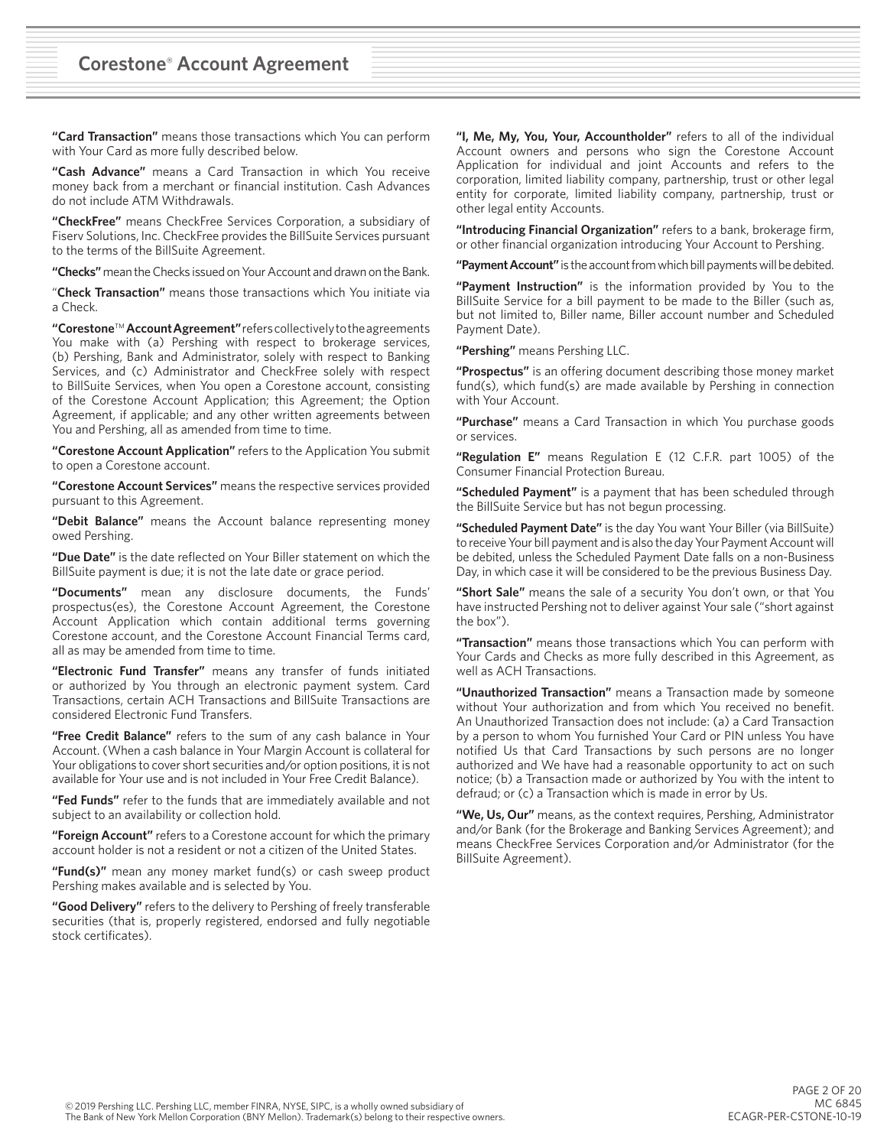**"Card Transaction"** means those transactions which You can perform with Your Card as more fully described below.

**"Cash Advance"** means a Card Transaction in which You receive money back from a merchant or financial institution. Cash Advances do not include ATM Withdrawals.

**"CheckFree"** means CheckFree Services Corporation, a subsidiary of Fiserv Solutions, Inc. CheckFree provides the BillSuite Services pursuant to the terms of the BillSuite Agreement.

**"Checks"** mean the Checks issued on Your Account and drawn on the Bank.

"**Check Transaction"** means those transactions which You initiate via a Check.

**"Corestone**™ **Account Agreement"** refers collectively to the agreements You make with (a) Pershing with respect to brokerage services, (b) Pershing, Bank and Administrator, solely with respect to Banking Services, and (c) Administrator and CheckFree solely with respect to BillSuite Services, when You open a Corestone account, consisting of the Corestone Account Application; this Agreement; the Option Agreement, if applicable; and any other written agreements between You and Pershing, all as amended from time to time.

**"Corestone Account Application"** refers to the Application You submit to open a Corestone account.

**"Corestone Account Services"** means the respective services provided pursuant to this Agreement.

**"Debit Balance"** means the Account balance representing money owed Pershing.

**"Due Date"** is the date reflected on Your Biller statement on which the BillSuite payment is due; it is not the late date or grace period.

**"Documents"** mean any disclosure documents, the Funds' prospectus(es), the Corestone Account Agreement, the Corestone Account Application which contain additional terms governing Corestone account, and the Corestone Account Financial Terms card, all as may be amended from time to time.

**"Electronic Fund Transfer"** means any transfer of funds initiated or authorized by You through an electronic payment system. Card Transactions, certain ACH Transactions and BillSuite Transactions are considered Electronic Fund Transfers.

**"Free Credit Balance"** refers to the sum of any cash balance in Your Account. (When a cash balance in Your Margin Account is collateral for Your obligations to cover short securities and/or option positions, it is not available for Your use and is not included in Your Free Credit Balance).

**"Fed Funds"** refer to the funds that are immediately available and not subject to an availability or collection hold.

**"Foreign Account"** refers to a Corestone account for which the primary account holder is not a resident or not a citizen of the United States.

**"Fund(s)"** mean any money market fund(s) or cash sweep product Pershing makes available and is selected by You.

**"Good Delivery"** refers to the delivery to Pershing of freely transferable securities (that is, properly registered, endorsed and fully negotiable stock certificates).

**"I, Me, My, You, Your, Accountholder"** refers to all of the individual Account owners and persons who sign the Corestone Account Application for individual and joint Accounts and refers to the corporation, limited liability company, partnership, trust or other legal entity for corporate, limited liability company, partnership, trust or other legal entity Accounts.

**"Introducing Financial Organization"** refers to a bank, brokerage firm, or other financial organization introducing Your Account to Pershing.

**"Payment Account"** is the account from which bill payments will be debited.

**"Payment Instruction"** is the information provided by You to the BillSuite Service for a bill payment to be made to the Biller (such as, but not limited to, Biller name, Biller account number and Scheduled Payment Date).

**"Pershing"** means Pershing LLC.

**"Prospectus"** is an offering document describing those money market fund(s), which fund(s) are made available by Pershing in connection with Your Account.

**"Purchase"** means a Card Transaction in which You purchase goods or services.

**"Regulation E"** means Regulation E (12 C.F.R. part 1005) of the Consumer Financial Protection Bureau.

**"Scheduled Payment"** is a payment that has been scheduled through the BillSuite Service but has not begun processing.

**"Scheduled Payment Date"** is the day You want Your Biller (via BillSuite) to receive Your bill payment and is also the day Your Payment Account will be debited, unless the Scheduled Payment Date falls on a non-Business Day, in which case it will be considered to be the previous Business Day.

**"Short Sale"** means the sale of a security You don't own, or that You have instructed Pershing not to deliver against Your sale ("short against the box").

**"Transaction"** means those transactions which You can perform with Your Cards and Checks as more fully described in this Agreement, as well as ACH Transactions.

**"Unauthorized Transaction"** means a Transaction made by someone without Your authorization and from which You received no benefit. An Unauthorized Transaction does not include: (a) a Card Transaction by a person to whom You furnished Your Card or PIN unless You have notified Us that Card Transactions by such persons are no longer authorized and We have had a reasonable opportunity to act on such notice; (b) a Transaction made or authorized by You with the intent to defraud; or (c) a Transaction which is made in error by Us.

**"We, Us, Our"** means, as the context requires, Pershing, Administrator and/or Bank (for the Brokerage and Banking Services Agreement); and means CheckFree Services Corporation and/or Administrator (for the BillSuite Agreement).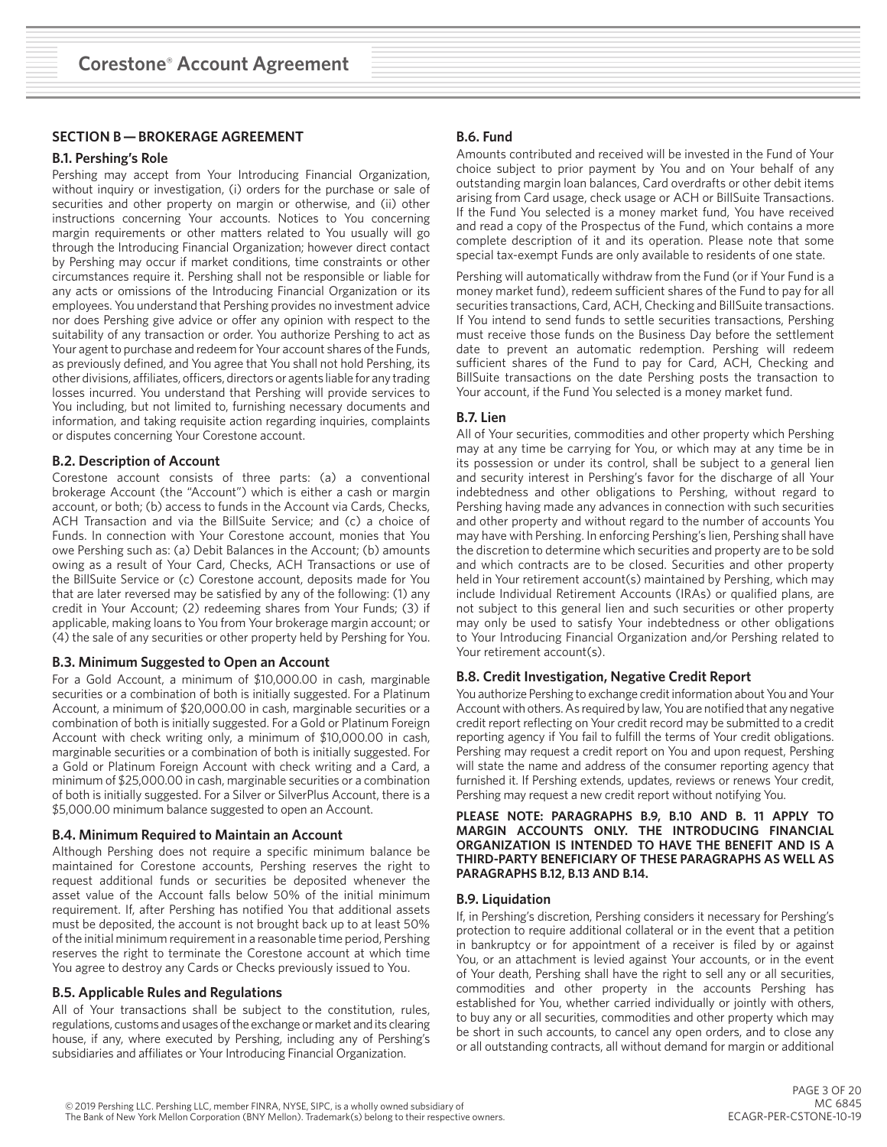# **SECTION B — BROKERAGE AGREEMENT**

#### **B.1. Pershing's Role**

Pershing may accept from Your Introducing Financial Organization, without inquiry or investigation, (i) orders for the purchase or sale of securities and other property on margin or otherwise, and (ii) other instructions concerning Your accounts. Notices to You concerning margin requirements or other matters related to You usually will go through the Introducing Financial Organization; however direct contact by Pershing may occur if market conditions, time constraints or other circumstances require it. Pershing shall not be responsible or liable for any acts or omissions of the Introducing Financial Organization or its employees. You understand that Pershing provides no investment advice nor does Pershing give advice or offer any opinion with respect to the suitability of any transaction or order. You authorize Pershing to act as Your agent to purchase and redeem for Your account shares of the Funds, as previously defined, and You agree that You shall not hold Pershing, its other divisions, affiliates, officers, directors or agents liable for any trading losses incurred. You understand that Pershing will provide services to You including, but not limited to, furnishing necessary documents and information, and taking requisite action regarding inquiries, complaints or disputes concerning Your Corestone account.

#### **B.2. Description of Account**

Corestone account consists of three parts: (a) a conventional brokerage Account (the "Account") which is either a cash or margin account, or both; (b) access to funds in the Account via Cards, Checks, ACH Transaction and via the BillSuite Service; and (c) a choice of Funds. In connection with Your Corestone account, monies that You owe Pershing such as: (a) Debit Balances in the Account; (b) amounts owing as a result of Your Card, Checks, ACH Transactions or use of the BillSuite Service or (c) Corestone account, deposits made for You that are later reversed may be satisfied by any of the following: (1) any credit in Your Account; (2) redeeming shares from Your Funds; (3) if applicable, making loans to You from Your brokerage margin account; or (4) the sale of any securities or other property held by Pershing for You.

#### **B.3. Minimum Suggested to Open an Account**

For a Gold Account, a minimum of \$10,000.00 in cash, marginable securities or a combination of both is initially suggested. For a Platinum Account, a minimum of \$20,000.00 in cash, marginable securities or a combination of both is initially suggested. For a Gold or Platinum Foreign Account with check writing only, a minimum of \$10,000.00 in cash, marginable securities or a combination of both is initially suggested. For a Gold or Platinum Foreign Account with check writing and a Card, a minimum of \$25,000.00 in cash, marginable securities or a combination of both is initially suggested. For a Silver or SilverPlus Account, there is a \$5,000.00 minimum balance suggested to open an Account.

#### **B.4. Minimum Required to Maintain an Account**

Although Pershing does not require a specific minimum balance be maintained for Corestone accounts, Pershing reserves the right to request additional funds or securities be deposited whenever the asset value of the Account falls below 50% of the initial minimum requirement. If, after Pershing has notified You that additional assets must be deposited, the account is not brought back up to at least 50% of the initial minimum requirement in a reasonable time period, Pershing reserves the right to terminate the Corestone account at which time You agree to destroy any Cards or Checks previously issued to You.

## **B.5. Applicable Rules and Regulations**

All of Your transactions shall be subject to the constitution, rules, regulations, customs and usages of the exchange or market and its clearing house, if any, where executed by Pershing, including any of Pershing's subsidiaries and affiliates or Your Introducing Financial Organization.

## **B.6. Fund**

Amounts contributed and received will be invested in the Fund of Your choice subject to prior payment by You and on Your behalf of any outstanding margin loan balances, Card overdrafts or other debit items arising from Card usage, check usage or ACH or BillSuite Transactions. If the Fund You selected is a money market fund, You have received and read a copy of the Prospectus of the Fund, which contains a more complete description of it and its operation. Please note that some special tax-exempt Funds are only available to residents of one state.

Pershing will automatically withdraw from the Fund (or if Your Fund is a money market fund), redeem sufficient shares of the Fund to pay for all securities transactions, Card, ACH, Checking and BillSuite transactions. If You intend to send funds to settle securities transactions, Pershing must receive those funds on the Business Day before the settlement date to prevent an automatic redemption. Pershing will redeem sufficient shares of the Fund to pay for Card, ACH, Checking and BillSuite transactions on the date Pershing posts the transaction to Your account, if the Fund You selected is a money market fund.

## **B.7. Lien**

All of Your securities, commodities and other property which Pershing may at any time be carrying for You, or which may at any time be in its possession or under its control, shall be subject to a general lien and security interest in Pershing's favor for the discharge of all Your indebtedness and other obligations to Pershing, without regard to Pershing having made any advances in connection with such securities and other property and without regard to the number of accounts You may have with Pershing. In enforcing Pershing's lien, Pershing shall have the discretion to determine which securities and property are to be sold and which contracts are to be closed. Securities and other property held in Your retirement account(s) maintained by Pershing, which may include Individual Retirement Accounts (IRAs) or qualified plans, are not subject to this general lien and such securities or other property may only be used to satisfy Your indebtedness or other obligations to Your Introducing Financial Organization and/or Pershing related to Your retirement account(s).

## **B.8. Credit Investigation, Negative Credit Report**

You authorize Pershing to exchange credit information about You and Your Account with others. As required by law, You are notified that any negative credit report reflecting on Your credit record may be submitted to a credit reporting agency if You fail to fulfill the terms of Your credit obligations. Pershing may request a credit report on You and upon request, Pershing will state the name and address of the consumer reporting agency that furnished it. If Pershing extends, updates, reviews or renews Your credit, Pershing may request a new credit report without notifying You.

**PLEASE NOTE: PARAGRAPHS B.9, B.10 AND B. 11 APPLY TO MARGIN ACCOUNTS ONLY. THE INTRODUCING FINANCIAL ORGANIZATION IS INTENDED TO HAVE THE BENEFIT AND IS A THIRD-PARTY BENEFICIARY OF THESE PARAGRAPHS AS WELL AS PARAGRAPHS B.12, B.13 AND B.14.**

#### **B.9. Liquidation**

If, in Pershing's discretion, Pershing considers it necessary for Pershing's protection to require additional collateral or in the event that a petition in bankruptcy or for appointment of a receiver is filed by or against You, or an attachment is levied against Your accounts, or in the event of Your death, Pershing shall have the right to sell any or all securities, commodities and other property in the accounts Pershing has established for You, whether carried individually or jointly with others, to buy any or all securities, commodities and other property which may be short in such accounts, to cancel any open orders, and to close any or all outstanding contracts, all without demand for margin or additional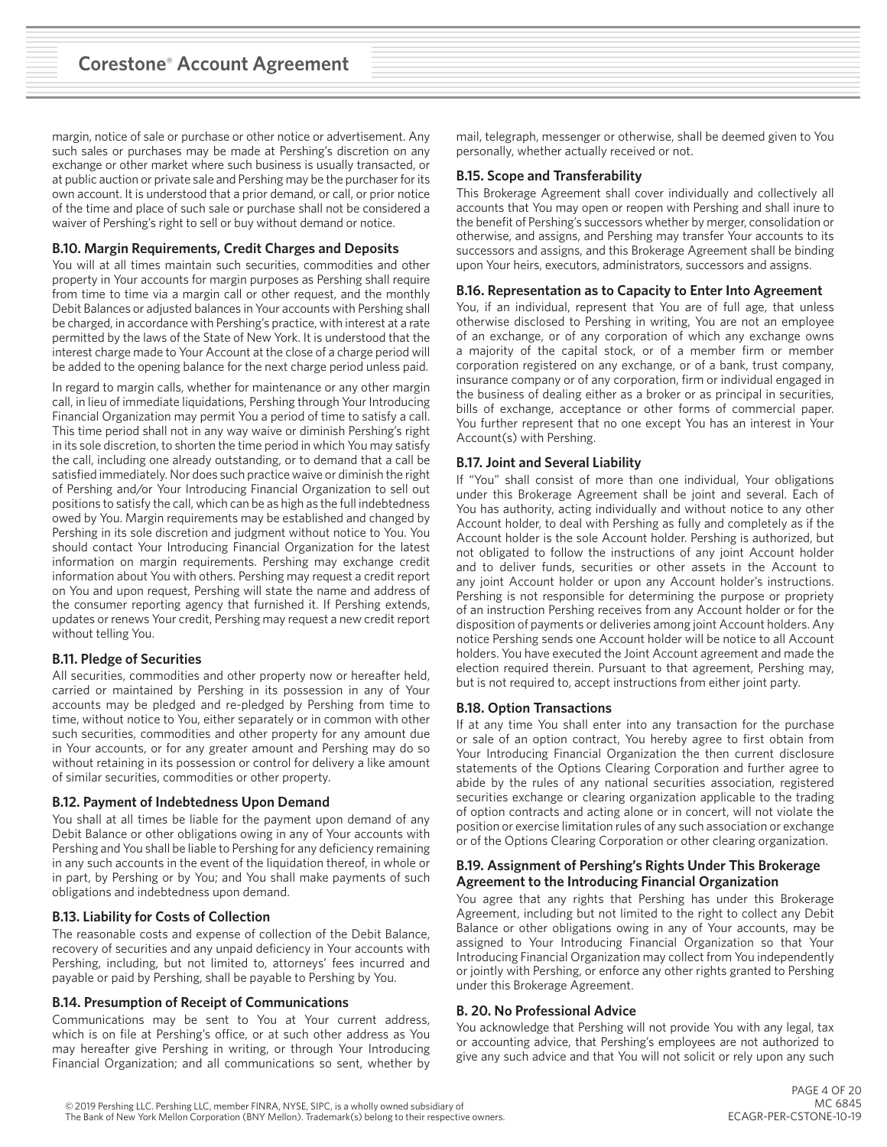margin, notice of sale or purchase or other notice or advertisement. Any such sales or purchases may be made at Pershing's discretion on any exchange or other market where such business is usually transacted, or at public auction or private sale and Pershing may be the purchaser for its own account. It is understood that a prior demand, or call, or prior notice of the time and place of such sale or purchase shall not be considered a waiver of Pershing's right to sell or buy without demand or notice.

# **B.10. Margin Requirements, Credit Charges and Deposits**

You will at all times maintain such securities, commodities and other property in Your accounts for margin purposes as Pershing shall require from time to time via a margin call or other request, and the monthly Debit Balances or adjusted balances in Your accounts with Pershing shall be charged, in accordance with Pershing's practice, with interest at a rate permitted by the laws of the State of New York. It is understood that the interest charge made to Your Account at the close of a charge period will be added to the opening balance for the next charge period unless paid.

In regard to margin calls, whether for maintenance or any other margin call, in lieu of immediate liquidations, Pershing through Your Introducing Financial Organization may permit You a period of time to satisfy a call. This time period shall not in any way waive or diminish Pershing's right in its sole discretion, to shorten the time period in which You may satisfy the call, including one already outstanding, or to demand that a call be satisfied immediately. Nor does such practice waive or diminish the right of Pershing and/or Your Introducing Financial Organization to sell out positions to satisfy the call, which can be as high as the full indebtedness owed by You. Margin requirements may be established and changed by Pershing in its sole discretion and judgment without notice to You. You should contact Your Introducing Financial Organization for the latest information on margin requirements. Pershing may exchange credit information about You with others. Pershing may request a credit report on You and upon request, Pershing will state the name and address of the consumer reporting agency that furnished it. If Pershing extends, updates or renews Your credit, Pershing may request a new credit report without telling You.

## **B.11. Pledge of Securities**

All securities, commodities and other property now or hereafter held, carried or maintained by Pershing in its possession in any of Your accounts may be pledged and re-pledged by Pershing from time to time, without notice to You, either separately or in common with other such securities, commodities and other property for any amount due in Your accounts, or for any greater amount and Pershing may do so without retaining in its possession or control for delivery a like amount of similar securities, commodities or other property.

## **B.12. Payment of Indebtedness Upon Demand**

You shall at all times be liable for the payment upon demand of any Debit Balance or other obligations owing in any of Your accounts with Pershing and You shall be liable to Pershing for any deficiency remaining in any such accounts in the event of the liquidation thereof, in whole or in part, by Pershing or by You; and You shall make payments of such obligations and indebtedness upon demand.

## **B.13. Liability for Costs of Collection**

The reasonable costs and expense of collection of the Debit Balance, recovery of securities and any unpaid deficiency in Your accounts with Pershing, including, but not limited to, attorneys' fees incurred and payable or paid by Pershing, shall be payable to Pershing by You.

#### **B.14. Presumption of Receipt of Communications**

Communications may be sent to You at Your current address, which is on file at Pershing's office, or at such other address as You may hereafter give Pershing in writing, or through Your Introducing Financial Organization; and all communications so sent, whether by

mail, telegraph, messenger or otherwise, shall be deemed given to You personally, whether actually received or not.

# **B.15. Scope and Transferability**

This Brokerage Agreement shall cover individually and collectively all accounts that You may open or reopen with Pershing and shall inure to the benefit of Pershing's successors whether by merger, consolidation or otherwise, and assigns, and Pershing may transfer Your accounts to its successors and assigns, and this Brokerage Agreement shall be binding upon Your heirs, executors, administrators, successors and assigns.

#### **B.16. Representation as to Capacity to Enter Into Agreement**

You, if an individual, represent that You are of full age, that unless otherwise disclosed to Pershing in writing, You are not an employee of an exchange, or of any corporation of which any exchange owns a majority of the capital stock, or of a member firm or member corporation registered on any exchange, or of a bank, trust company, insurance company or of any corporation, firm or individual engaged in the business of dealing either as a broker or as principal in securities, bills of exchange, acceptance or other forms of commercial paper. You further represent that no one except You has an interest in Your Account(s) with Pershing.

#### **B.17. Joint and Several Liability**

If "You" shall consist of more than one individual, Your obligations under this Brokerage Agreement shall be joint and several. Each of You has authority, acting individually and without notice to any other Account holder, to deal with Pershing as fully and completely as if the Account holder is the sole Account holder. Pershing is authorized, but not obligated to follow the instructions of any joint Account holder and to deliver funds, securities or other assets in the Account to any joint Account holder or upon any Account holder's instructions. Pershing is not responsible for determining the purpose or propriety of an instruction Pershing receives from any Account holder or for the disposition of payments or deliveries among joint Account holders. Any notice Pershing sends one Account holder will be notice to all Account holders. You have executed the Joint Account agreement and made the election required therein. Pursuant to that agreement, Pershing may, but is not required to, accept instructions from either joint party.

## **B.18. Option Transactions**

If at any time You shall enter into any transaction for the purchase or sale of an option contract, You hereby agree to first obtain from Your Introducing Financial Organization the then current disclosure statements of the Options Clearing Corporation and further agree to abide by the rules of any national securities association, registered securities exchange or clearing organization applicable to the trading of option contracts and acting alone or in concert, will not violate the position or exercise limitation rules of any such association or exchange or of the Options Clearing Corporation or other clearing organization.

#### **B.19. Assignment of Pershing's Rights Under This Brokerage Agreement to the Introducing Financial Organization**

You agree that any rights that Pershing has under this Brokerage Agreement, including but not limited to the right to collect any Debit Balance or other obligations owing in any of Your accounts, may be assigned to Your Introducing Financial Organization so that Your Introducing Financial Organization may collect from You independently or jointly with Pershing, or enforce any other rights granted to Pershing under this Brokerage Agreement.

#### **B. 20. No Professional Advice**

You acknowledge that Pershing will not provide You with any legal, tax or accounting advice, that Pershing's employees are not authorized to give any such advice and that You will not solicit or rely upon any such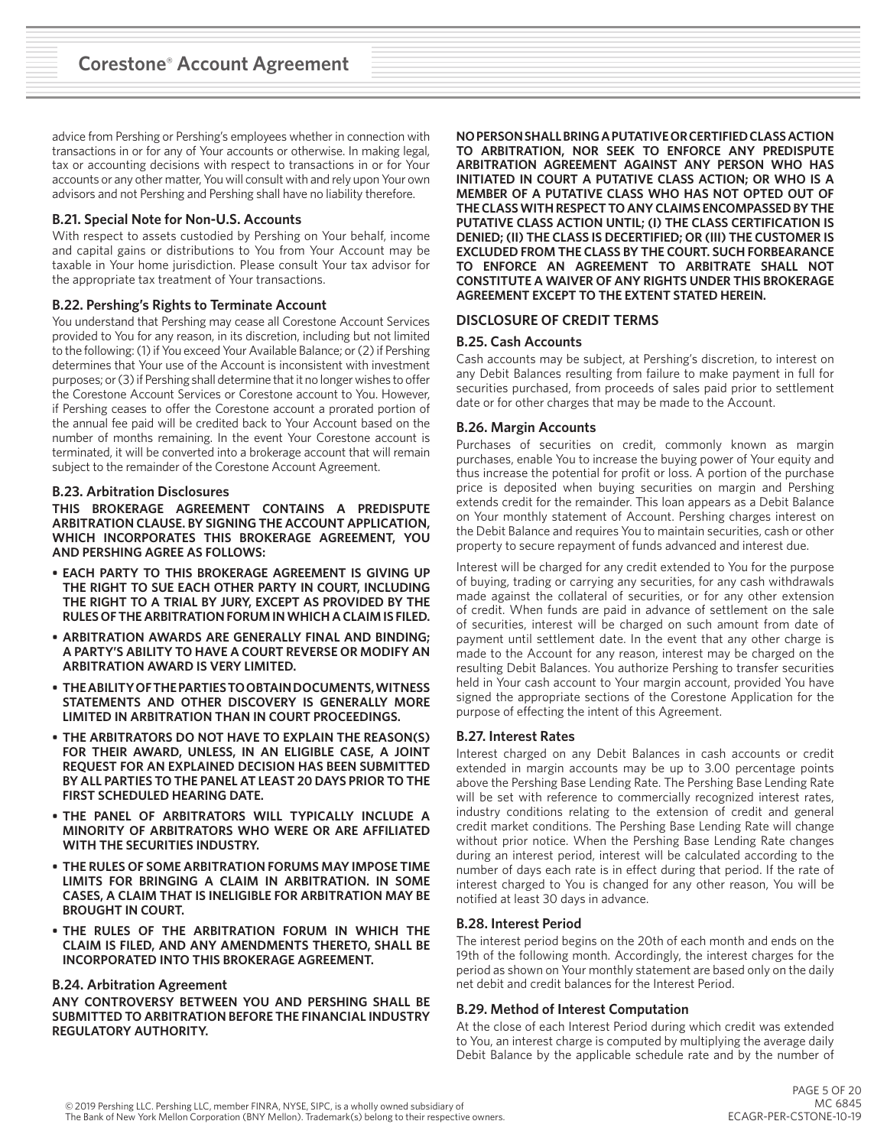advice from Pershing or Pershing's employees whether in connection with transactions in or for any of Your accounts or otherwise. In making legal, tax or accounting decisions with respect to transactions in or for Your accounts or any other matter, You will consult with and rely upon Your own advisors and not Pershing and Pershing shall have no liability therefore.

# **B.21. Special Note for Non-U.S. Accounts**

With respect to assets custodied by Pershing on Your behalf, income and capital gains or distributions to You from Your Account may be taxable in Your home jurisdiction. Please consult Your tax advisor for the appropriate tax treatment of Your transactions.

# **B.22. Pershing's Rights to Terminate Account**

You understand that Pershing may cease all Corestone Account Services provided to You for any reason, in its discretion, including but not limited to the following: (1) if You exceed Your Available Balance; or (2) if Pershing determines that Your use of the Account is inconsistent with investment purposes; or (3) if Pershing shall determine that it no longer wishes to offer the Corestone Account Services or Corestone account to You. However, if Pershing ceases to offer the Corestone account a prorated portion of the annual fee paid will be credited back to Your Account based on the number of months remaining. In the event Your Corestone account is terminated, it will be converted into a brokerage account that will remain subject to the remainder of the Corestone Account Agreement.

## **B.23. Arbitration Disclosures**

**THIS BROKERAGE AGREEMENT CONTAINS A PREDISPUTE ARBITRATION CLAUSE. BY SIGNING THE ACCOUNT APPLICATION, WHICH INCORPORATES THIS BROKERAGE AGREEMENT, YOU AND PERSHING AGREE AS FOLLOWS:**

- **• EACH PARTY TO THIS BROKERAGE AGREEMENT IS GIVING UP THE RIGHT TO SUE EACH OTHER PARTY IN COURT, INCLUDING THE RIGHT TO A TRIAL BY JURY, EXCEPT AS PROVIDED BY THE RULES OF THE ARBITRATION FORUM IN WHICH A CLAIM IS FILED.**
- **• ARBITRATION AWARDS ARE GENERALLY FINAL AND BINDING; A PARTY'S ABILITY TO HAVE A COURT REVERSE OR MODIFY AN ARBITRATION AWARD IS VERY LIMITED.**
- **• THE ABILITY OF THE PARTIES TO OBTAIN DOCUMENTS, WITNESS STATEMENTS AND OTHER DISCOVERY IS GENERALLY MORE LIMITED IN ARBITRATION THAN IN COURT PROCEEDINGS.**
- **• THE ARBITRATORS DO NOT HAVE TO EXPLAIN THE REASON(S) FOR THEIR AWARD, UNLESS, IN AN ELIGIBLE CASE, A JOINT REQUEST FOR AN EXPLAINED DECISION HAS BEEN SUBMITTED BY ALL PARTIES TO THE PANEL AT LEAST 20 DAYS PRIOR TO THE FIRST SCHEDULED HEARING DATE.**
- **• THE PANEL OF ARBITRATORS WILL TYPICALLY INCLUDE A MINORITY OF ARBITRATORS WHO WERE OR ARE AFFILIATED WITH THE SECURITIES INDUSTRY.**
- **• THE RULES OF SOME ARBITRATION FORUMS MAY IMPOSE TIME LIMITS FOR BRINGING A CLAIM IN ARBITRATION. IN SOME CASES, A CLAIM THAT IS INELIGIBLE FOR ARBITRATION MAY BE BROUGHT IN COURT.**
- **• THE RULES OF THE ARBITRATION FORUM IN WHICH THE CLAIM IS FILED, AND ANY AMENDMENTS THERETO, SHALL BE INCORPORATED INTO THIS BROKERAGE AGREEMENT.**

## **B.24. Arbitration Agreement**

**ANY CONTROVERSY BETWEEN YOU AND PERSHING SHALL BE SUBMITTED TO ARBITRATION BEFORE THE FINANCIAL INDUSTRY REGULATORY AUTHORITY.**

**NO PERSON SHALL BRING A PUTATIVE OR CERTIFIED CLASS ACTION TO ARBITRATION, NOR SEEK TO ENFORCE ANY PREDISPUTE ARBITRATION AGREEMENT AGAINST ANY PERSON WHO HAS INITIATED IN COURT A PUTATIVE CLASS ACTION; OR WHO IS A MEMBER OF A PUTATIVE CLASS WHO HAS NOT OPTED OUT OF THE CLASS WITH RESPECT TO ANY CLAIMS ENCOMPASSED BY THE PUTATIVE CLASS ACTION UNTIL; (I) THE CLASS CERTIFICATION IS DENIED; (II) THE CLASS IS DECERTIFIED; OR (III) THE CUSTOMER IS EXCLUDED FROM THE CLASS BY THE COURT. SUCH FORBEARANCE TO ENFORCE AN AGREEMENT TO ARBITRATE SHALL NOT CONSTITUTE A WAIVER OF ANY RIGHTS UNDER THIS BROKERAGE AGREEMENT EXCEPT TO THE EXTENT STATED HEREIN.**

## **DISCLOSURE OF CREDIT TERMS**

## **B.25. Cash Accounts**

Cash accounts may be subject, at Pershing's discretion, to interest on any Debit Balances resulting from failure to make payment in full for securities purchased, from proceeds of sales paid prior to settlement date or for other charges that may be made to the Account.

#### **B.26. Margin Accounts**

Purchases of securities on credit, commonly known as margin purchases, enable You to increase the buying power of Your equity and thus increase the potential for profit or loss. A portion of the purchase price is deposited when buying securities on margin and Pershing extends credit for the remainder. This loan appears as a Debit Balance on Your monthly statement of Account. Pershing charges interest on the Debit Balance and requires You to maintain securities, cash or other property to secure repayment of funds advanced and interest due.

Interest will be charged for any credit extended to You for the purpose of buying, trading or carrying any securities, for any cash withdrawals made against the collateral of securities, or for any other extension of credit. When funds are paid in advance of settlement on the sale of securities, interest will be charged on such amount from date of payment until settlement date. In the event that any other charge is made to the Account for any reason, interest may be charged on the resulting Debit Balances. You authorize Pershing to transfer securities held in Your cash account to Your margin account, provided You have signed the appropriate sections of the Corestone Application for the purpose of effecting the intent of this Agreement.

## **B.27. Interest Rates**

Interest charged on any Debit Balances in cash accounts or credit extended in margin accounts may be up to 3.00 percentage points above the Pershing Base Lending Rate. The Pershing Base Lending Rate will be set with reference to commercially recognized interest rates, industry conditions relating to the extension of credit and general credit market conditions. The Pershing Base Lending Rate will change without prior notice. When the Pershing Base Lending Rate changes during an interest period, interest will be calculated according to the number of days each rate is in effect during that period. If the rate of interest charged to You is changed for any other reason, You will be notified at least 30 days in advance.

## **B.28. Interest Period**

The interest period begins on the 20th of each month and ends on the 19th of the following month. Accordingly, the interest charges for the period as shown on Your monthly statement are based only on the daily net debit and credit balances for the Interest Period.

## **B.29. Method of Interest Computation**

At the close of each Interest Period during which credit was extended to You, an interest charge is computed by multiplying the average daily Debit Balance by the applicable schedule rate and by the number of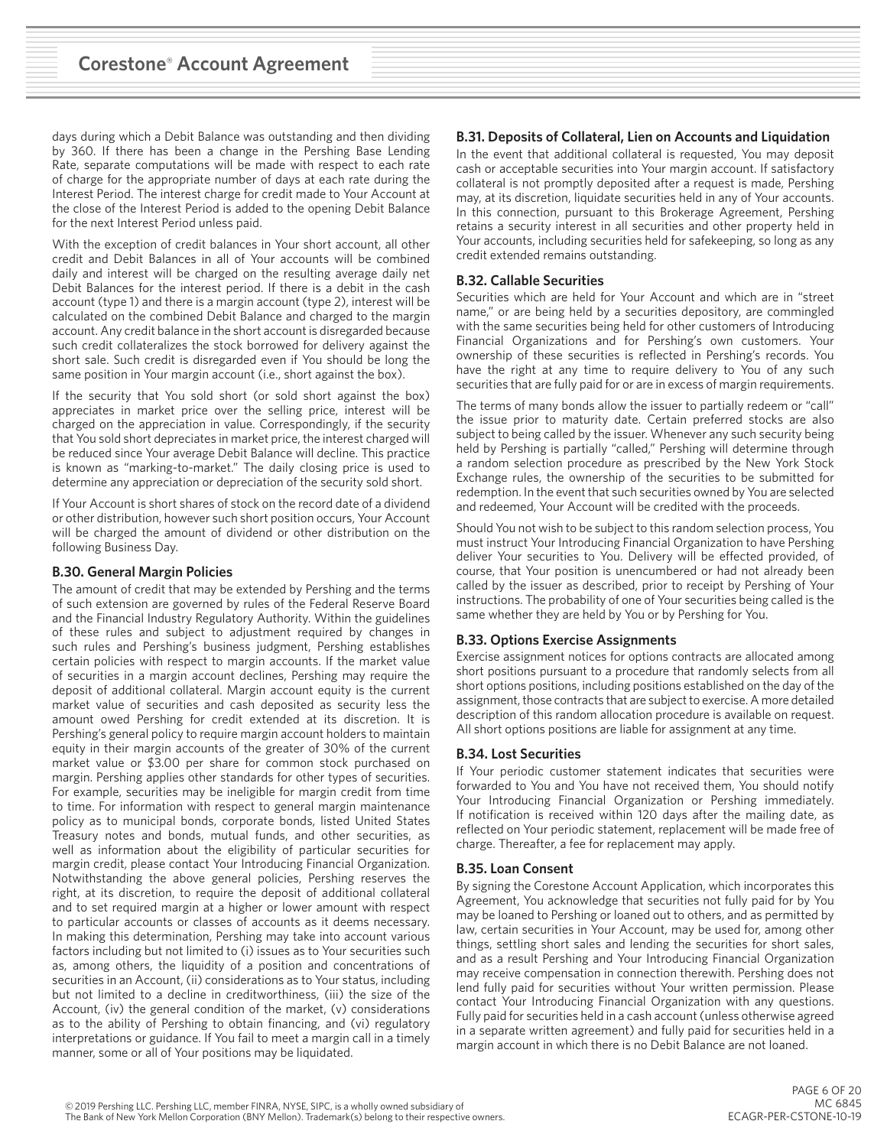days during which a Debit Balance was outstanding and then dividing by 360. If there has been a change in the Pershing Base Lending Rate, separate computations will be made with respect to each rate of charge for the appropriate number of days at each rate during the Interest Period. The interest charge for credit made to Your Account at the close of the Interest Period is added to the opening Debit Balance for the next Interest Period unless paid.

With the exception of credit balances in Your short account, all other credit and Debit Balances in all of Your accounts will be combined daily and interest will be charged on the resulting average daily net Debit Balances for the interest period. If there is a debit in the cash account (type 1) and there is a margin account (type 2), interest will be calculated on the combined Debit Balance and charged to the margin account. Any credit balance in the short account is disregarded because such credit collateralizes the stock borrowed for delivery against the short sale. Such credit is disregarded even if You should be long the same position in Your margin account (i.e., short against the box).

If the security that You sold short (or sold short against the box) appreciates in market price over the selling price, interest will be charged on the appreciation in value. Correspondingly, if the security that You sold short depreciates in market price, the interest charged will be reduced since Your average Debit Balance will decline. This practice is known as "marking-to-market." The daily closing price is used to determine any appreciation or depreciation of the security sold short.

If Your Account is short shares of stock on the record date of a dividend or other distribution, however such short position occurs, Your Account will be charged the amount of dividend or other distribution on the following Business Day.

## **B.30. General Margin Policies**

The amount of credit that may be extended by Pershing and the terms of such extension are governed by rules of the Federal Reserve Board and the Financial Industry Regulatory Authority. Within the guidelines of these rules and subject to adjustment required by changes in such rules and Pershing's business judgment, Pershing establishes certain policies with respect to margin accounts. If the market value of securities in a margin account declines, Pershing may require the deposit of additional collateral. Margin account equity is the current market value of securities and cash deposited as security less the amount owed Pershing for credit extended at its discretion. It is Pershing's general policy to require margin account holders to maintain equity in their margin accounts of the greater of 30% of the current market value or \$3.00 per share for common stock purchased on margin. Pershing applies other standards for other types of securities. For example, securities may be ineligible for margin credit from time to time. For information with respect to general margin maintenance policy as to municipal bonds, corporate bonds, listed United States Treasury notes and bonds, mutual funds, and other securities, as well as information about the eligibility of particular securities for margin credit, please contact Your Introducing Financial Organization. Notwithstanding the above general policies, Pershing reserves the right, at its discretion, to require the deposit of additional collateral and to set required margin at a higher or lower amount with respect to particular accounts or classes of accounts as it deems necessary. In making this determination, Pershing may take into account various factors including but not limited to (i) issues as to Your securities such as, among others, the liquidity of a position and concentrations of securities in an Account, (ii) considerations as to Your status, including but not limited to a decline in creditworthiness, (iii) the size of the Account, (iv) the general condition of the market, (v) considerations as to the ability of Pershing to obtain financing, and (vi) regulatory interpretations or guidance. If You fail to meet a margin call in a timely manner, some or all of Your positions may be liquidated.

# **B.31. Deposits of Collateral, Lien on Accounts and Liquidation**

In the event that additional collateral is requested, You may deposit cash or acceptable securities into Your margin account. If satisfactory collateral is not promptly deposited after a request is made, Pershing may, at its discretion, liquidate securities held in any of Your accounts. In this connection, pursuant to this Brokerage Agreement, Pershing retains a security interest in all securities and other property held in Your accounts, including securities held for safekeeping, so long as any credit extended remains outstanding.

# **B.32. Callable Securities**

Securities which are held for Your Account and which are in "street name," or are being held by a securities depository, are commingled with the same securities being held for other customers of Introducing Financial Organizations and for Pershing's own customers. Your ownership of these securities is reflected in Pershing's records. You have the right at any time to require delivery to You of any such securities that are fully paid for or are in excess of margin requirements.

The terms of many bonds allow the issuer to partially redeem or "call" the issue prior to maturity date. Certain preferred stocks are also subject to being called by the issuer. Whenever any such security being held by Pershing is partially "called," Pershing will determine through a random selection procedure as prescribed by the New York Stock Exchange rules, the ownership of the securities to be submitted for redemption. In the event that such securities owned by You are selected and redeemed, Your Account will be credited with the proceeds.

Should You not wish to be subject to this random selection process, You must instruct Your Introducing Financial Organization to have Pershing deliver Your securities to You. Delivery will be effected provided, of course, that Your position is unencumbered or had not already been called by the issuer as described, prior to receipt by Pershing of Your instructions. The probability of one of Your securities being called is the same whether they are held by You or by Pershing for You.

# **B.33. Options Exercise Assignments**

Exercise assignment notices for options contracts are allocated among short positions pursuant to a procedure that randomly selects from all short options positions, including positions established on the day of the assignment, those contracts that are subject to exercise. A more detailed description of this random allocation procedure is available on request. All short options positions are liable for assignment at any time.

# **B.34. Lost Securities**

If Your periodic customer statement indicates that securities were forwarded to You and You have not received them, You should notify Your Introducing Financial Organization or Pershing immediately. If notification is received within 120 days after the mailing date, as reflected on Your periodic statement, replacement will be made free of charge. Thereafter, a fee for replacement may apply.

# **B.35. Loan Consent**

By signing the Corestone Account Application, which incorporates this Agreement, You acknowledge that securities not fully paid for by You may be loaned to Pershing or loaned out to others, and as permitted by law, certain securities in Your Account, may be used for, among other things, settling short sales and lending the securities for short sales, and as a result Pershing and Your Introducing Financial Organization may receive compensation in connection therewith. Pershing does not lend fully paid for securities without Your written permission. Please contact Your Introducing Financial Organization with any questions. Fully paid for securities held in a cash account (unless otherwise agreed in a separate written agreement) and fully paid for securities held in a margin account in which there is no Debit Balance are not loaned.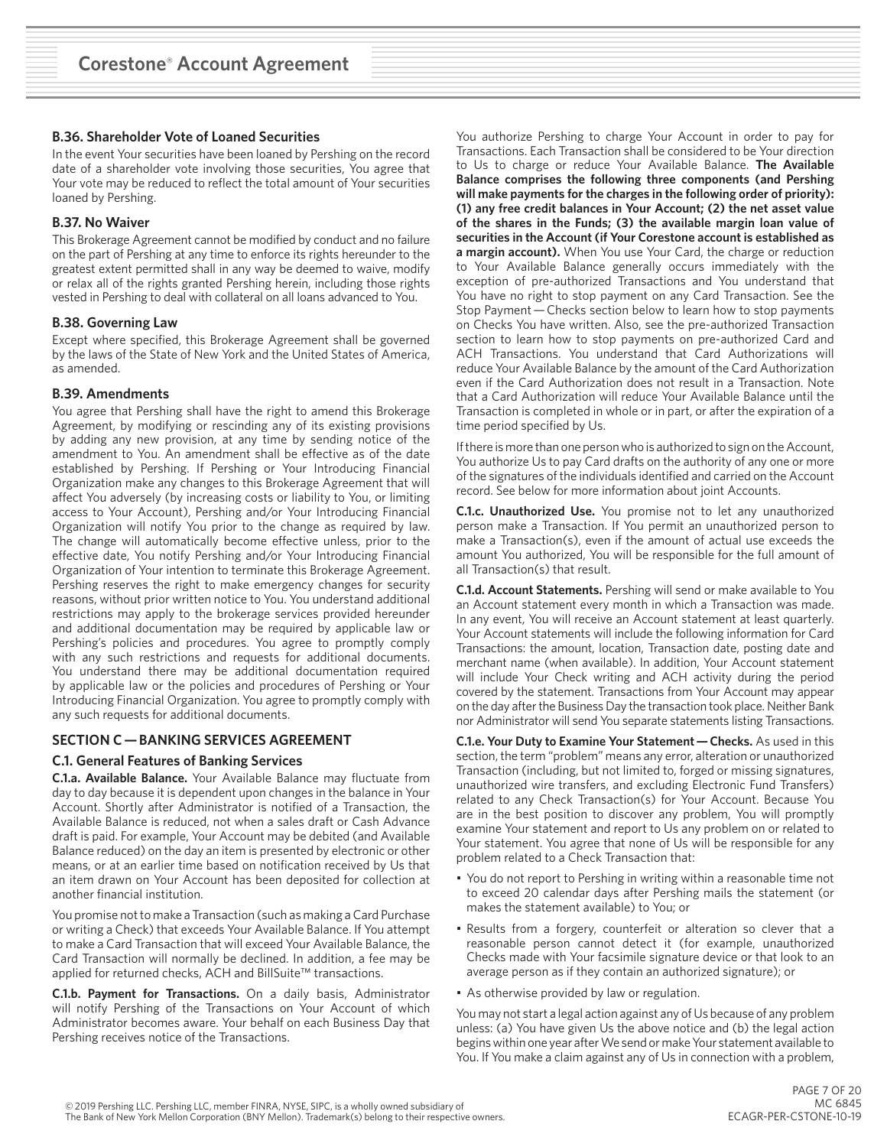#### **B.36. Shareholder Vote of Loaned Securities**

In the event Your securities have been loaned by Pershing on the record date of a shareholder vote involving those securities, You agree that Your vote may be reduced to reflect the total amount of Your securities loaned by Pershing.

#### **B.37. No Waiver**

This Brokerage Agreement cannot be modified by conduct and no failure on the part of Pershing at any time to enforce its rights hereunder to the greatest extent permitted shall in any way be deemed to waive, modify or relax all of the rights granted Pershing herein, including those rights vested in Pershing to deal with collateral on all loans advanced to You.

#### **B.38. Governing Law**

Except where specified, this Brokerage Agreement shall be governed by the laws of the State of New York and the United States of America, as amended.

#### **B.39. Amendments**

You agree that Pershing shall have the right to amend this Brokerage Agreement, by modifying or rescinding any of its existing provisions by adding any new provision, at any time by sending notice of the amendment to You. An amendment shall be effective as of the date established by Pershing. If Pershing or Your Introducing Financial Organization make any changes to this Brokerage Agreement that will affect You adversely (by increasing costs or liability to You, or limiting access to Your Account), Pershing and/or Your Introducing Financial Organization will notify You prior to the change as required by law. The change will automatically become effective unless, prior to the effective date, You notify Pershing and/or Your Introducing Financial Organization of Your intention to terminate this Brokerage Agreement. Pershing reserves the right to make emergency changes for security reasons, without prior written notice to You. You understand additional restrictions may apply to the brokerage services provided hereunder and additional documentation may be required by applicable law or Pershing's policies and procedures. You agree to promptly comply with any such restrictions and requests for additional documents. You understand there may be additional documentation required by applicable law or the policies and procedures of Pershing or Your Introducing Financial Organization. You agree to promptly comply with any such requests for additional documents.

# **SECTION C — BANKING SERVICES AGREEMENT**

# **C.1. General Features of Banking Services**

**C.1.a. Available Balance.** Your Available Balance may fluctuate from day to day because it is dependent upon changes in the balance in Your Account. Shortly after Administrator is notified of a Transaction, the Available Balance is reduced, not when a sales draft or Cash Advance draft is paid. For example, Your Account may be debited (and Available Balance reduced) on the day an item is presented by electronic or other means, or at an earlier time based on notification received by Us that an item drawn on Your Account has been deposited for collection at another financial institution.

You promise not to make a Transaction (such as making a Card Purchase or writing a Check) that exceeds Your Available Balance. If You attempt to make a Card Transaction that will exceed Your Available Balance, the Card Transaction will normally be declined. In addition, a fee may be applied for returned checks, ACH and BillSuite™ transactions.

**C.1.b. Payment for Transactions.** On a daily basis, Administrator will notify Pershing of the Transactions on Your Account of which Administrator becomes aware. Your behalf on each Business Day that Pershing receives notice of the Transactions.

You authorize Pershing to charge Your Account in order to pay for Transactions. Each Transaction shall be considered to be Your direction to Us to charge or reduce Your Available Balance. **The Available Balance comprises the following three components (and Pershing will make payments for the charges in the following order of priority): (1) any free credit balances in Your Account; (2) the net asset value of the shares in the Funds; (3) the available margin loan value of securities in the Account (if Your Corestone account is established as a margin account).** When You use Your Card, the charge or reduction to Your Available Balance generally occurs immediately with the exception of pre-authorized Transactions and You understand that You have no right to stop payment on any Card Transaction. See the Stop Payment — Checks section below to learn how to stop payments on Checks You have written. Also, see the pre-authorized Transaction section to learn how to stop payments on pre-authorized Card and ACH Transactions. You understand that Card Authorizations will reduce Your Available Balance by the amount of the Card Authorization even if the Card Authorization does not result in a Transaction. Note that a Card Authorization will reduce Your Available Balance until the Transaction is completed in whole or in part, or after the expiration of a time period specified by Us.

If there is more than one person who is authorized to sign on the Account, You authorize Us to pay Card drafts on the authority of any one or more of the signatures of the individuals identified and carried on the Account record. See below for more information about joint Accounts.

**C.1.c. Unauthorized Use.** You promise not to let any unauthorized person make a Transaction. If You permit an unauthorized person to make a Transaction(s), even if the amount of actual use exceeds the amount You authorized, You will be responsible for the full amount of all Transaction(s) that result.

**C.1.d. Account Statements.** Pershing will send or make available to You an Account statement every month in which a Transaction was made. In any event, You will receive an Account statement at least quarterly. Your Account statements will include the following information for Card Transactions: the amount, location, Transaction date, posting date and merchant name (when available). In addition, Your Account statement will include Your Check writing and ACH activity during the period covered by the statement. Transactions from Your Account may appear on the day after the Business Day the transaction took place. Neither Bank nor Administrator will send You separate statements listing Transactions.

**C.1.e. Your Duty to Examine Your Statement — Checks.** As used in this section, the term "problem" means any error, alteration or unauthorized Transaction (including, but not limited to, forged or missing signatures, unauthorized wire transfers, and excluding Electronic Fund Transfers) related to any Check Transaction(s) for Your Account. Because You are in the best position to discover any problem, You will promptly examine Your statement and report to Us any problem on or related to Your statement. You agree that none of Us will be responsible for any problem related to a Check Transaction that:

- You do not report to Pershing in writing within a reasonable time not to exceed 20 calendar days after Pershing mails the statement (or makes the statement available) to You; or
- Results from a forgery, counterfeit or alteration so clever that a reasonable person cannot detect it (for example, unauthorized Checks made with Your facsimile signature device or that look to an average person as if they contain an authorized signature); or
- As otherwise provided by law or regulation.

You may not start a legal action against any of Us because of any problem unless: (a) You have given Us the above notice and (b) the legal action begins within one year after We send or make Your statement available to You. If You make a claim against any of Us in connection with a problem,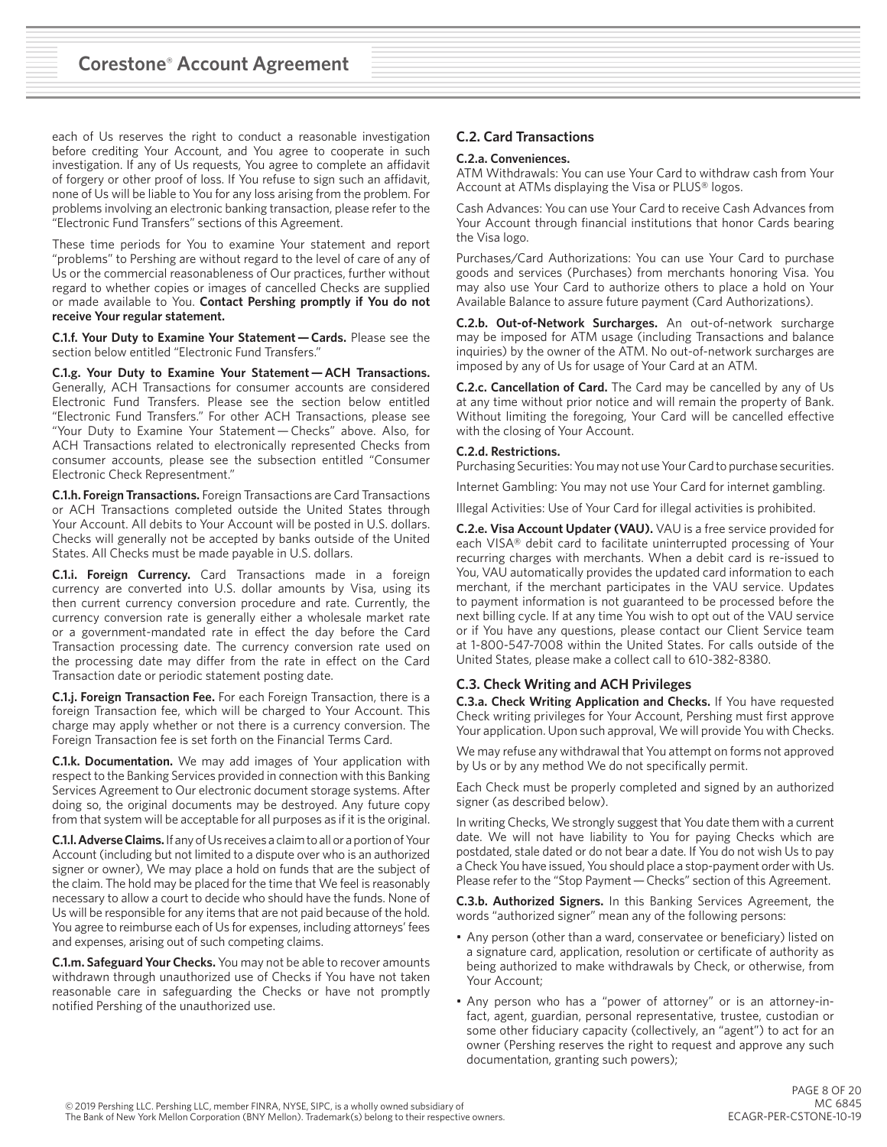each of Us reserves the right to conduct a reasonable investigation before crediting Your Account, and You agree to cooperate in such investigation. If any of Us requests, You agree to complete an affidavit of forgery or other proof of loss. If You refuse to sign such an affidavit, none of Us will be liable to You for any loss arising from the problem. For problems involving an electronic banking transaction, please refer to the "Electronic Fund Transfers" sections of this Agreement.

These time periods for You to examine Your statement and report "problems" to Pershing are without regard to the level of care of any of Us or the commercial reasonableness of Our practices, further without regard to whether copies or images of cancelled Checks are supplied or made available to You. **Contact Pershing promptly if You do not receive Your regular statement.**

**C.1.f. Your Duty to Examine Your Statement — Cards.** Please see the section below entitled "Electronic Fund Transfers."

**C.1.g. Your Duty to Examine Your Statement — ACH Transactions.** Generally, ACH Transactions for consumer accounts are considered Electronic Fund Transfers. Please see the section below entitled "Electronic Fund Transfers." For other ACH Transactions, please see "Your Duty to Examine Your Statement — Checks" above. Also, for ACH Transactions related to electronically represented Checks from consumer accounts, please see the subsection entitled "Consumer Electronic Check Representment."

**C.1.h. Foreign Transactions.** Foreign Transactions are Card Transactions or ACH Transactions completed outside the United States through Your Account. All debits to Your Account will be posted in U.S. dollars. Checks will generally not be accepted by banks outside of the United States. All Checks must be made payable in U.S. dollars.

**C.1.i. Foreign Currency.** Card Transactions made in a foreign currency are converted into U.S. dollar amounts by Visa, using its then current currency conversion procedure and rate. Currently, the currency conversion rate is generally either a wholesale market rate or a government-mandated rate in effect the day before the Card Transaction processing date. The currency conversion rate used on the processing date may differ from the rate in effect on the Card Transaction date or periodic statement posting date.

**C.1.j. Foreign Transaction Fee.** For each Foreign Transaction, there is a foreign Transaction fee, which will be charged to Your Account. This charge may apply whether or not there is a currency conversion. The Foreign Transaction fee is set forth on the Financial Terms Card.

**C.1.k. Documentation.** We may add images of Your application with respect to the Banking Services provided in connection with this Banking Services Agreement to Our electronic document storage systems. After doing so, the original documents may be destroyed. Any future copy from that system will be acceptable for all purposes as if it is the original.

**C.1.l. Adverse Claims.** If any of Us receives a claim to all or a portion of Your Account (including but not limited to a dispute over who is an authorized signer or owner), We may place a hold on funds that are the subject of the claim. The hold may be placed for the time that We feel is reasonably necessary to allow a court to decide who should have the funds. None of Us will be responsible for any items that are not paid because of the hold. You agree to reimburse each of Us for expenses, including attorneys' fees and expenses, arising out of such competing claims.

**C.1.m. Safeguard Your Checks.** You may not be able to recover amounts withdrawn through unauthorized use of Checks if You have not taken reasonable care in safeguarding the Checks or have not promptly notified Pershing of the unauthorized use.

# **C.2. Card Transactions**

#### **C.2.a. Conveniences.**

ATM Withdrawals: You can use Your Card to withdraw cash from Your Account at ATMs displaying the Visa or PLUS® logos.

Cash Advances: You can use Your Card to receive Cash Advances from Your Account through financial institutions that honor Cards bearing the Visa logo.

Purchases/Card Authorizations: You can use Your Card to purchase goods and services (Purchases) from merchants honoring Visa. You may also use Your Card to authorize others to place a hold on Your Available Balance to assure future payment (Card Authorizations).

**C.2.b. Out-of-Network Surcharges.** An out-of-network surcharge may be imposed for ATM usage (including Transactions and balance inquiries) by the owner of the ATM. No out-of-network surcharges are imposed by any of Us for usage of Your Card at an ATM.

**C.2.c. Cancellation of Card.** The Card may be cancelled by any of Us at any time without prior notice and will remain the property of Bank. Without limiting the foregoing, Your Card will be cancelled effective with the closing of Your Account.

#### **C.2.d. Restrictions.**

Purchasing Securities: You may not use Your Card to purchase securities.

Internet Gambling: You may not use Your Card for internet gambling.

Illegal Activities: Use of Your Card for illegal activities is prohibited.

**C.2.e. Visa Account Updater (VAU).** VAU is a free service provided for each VISA® debit card to facilitate uninterrupted processing of Your recurring charges with merchants. When a debit card is re-issued to You, VAU automatically provides the updated card information to each merchant, if the merchant participates in the VAU service. Updates to payment information is not guaranteed to be processed before the next billing cycle. If at any time You wish to opt out of the VAU service or if You have any questions, please contact our Client Service team at 1-800-547-7008 within the United States. For calls outside of the United States, please make a collect call to 610-382-8380.

## **C.3. Check Writing and ACH Privileges**

**C.3.a. Check Writing Application and Checks.** If You have requested Check writing privileges for Your Account, Pershing must first approve Your application. Upon such approval, We will provide You with Checks.

We may refuse any withdrawal that You attempt on forms not approved by Us or by any method We do not specifically permit.

Each Check must be properly completed and signed by an authorized signer (as described below).

In writing Checks, We strongly suggest that You date them with a current date. We will not have liability to You for paying Checks which are postdated, stale dated or do not bear a date. If You do not wish Us to pay a Check You have issued, You should place a stop-payment order with Us. Please refer to the "Stop Payment - Checks" section of this Agreement.

**C.3.b. Authorized Signers.** In this Banking Services Agreement, the words "authorized signer" mean any of the following persons:

- Any person (other than a ward, conservatee or beneficiary) listed on a signature card, application, resolution or certificate of authority as being authorized to make withdrawals by Check, or otherwise, from Your Account;
- Any person who has a "power of attorney" or is an attorney-infact, agent, guardian, personal representative, trustee, custodian or some other fiduciary capacity (collectively, an "agent") to act for an owner (Pershing reserves the right to request and approve any such documentation, granting such powers);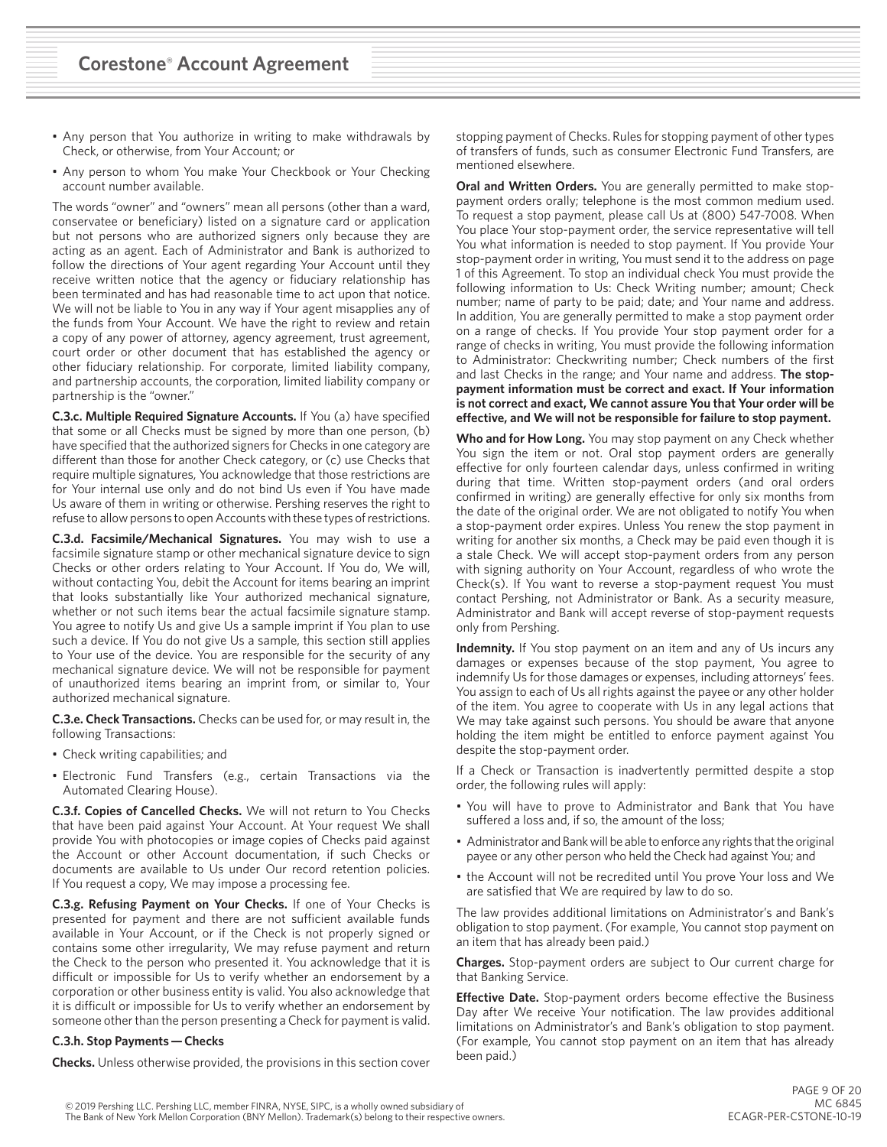- Any person that You authorize in writing to make withdrawals by Check, or otherwise, from Your Account; or
- Any person to whom You make Your Checkbook or Your Checking account number available.

The words "owner" and "owners" mean all persons (other than a ward, conservatee or beneficiary) listed on a signature card or application but not persons who are authorized signers only because they are acting as an agent. Each of Administrator and Bank is authorized to follow the directions of Your agent regarding Your Account until they receive written notice that the agency or fiduciary relationship has been terminated and has had reasonable time to act upon that notice. We will not be liable to You in any way if Your agent misapplies any of the funds from Your Account. We have the right to review and retain a copy of any power of attorney, agency agreement, trust agreement, court order or other document that has established the agency or other fiduciary relationship. For corporate, limited liability company, and partnership accounts, the corporation, limited liability company or partnership is the "owner."

**C.3.c. Multiple Required Signature Accounts.** If You (a) have specified that some or all Checks must be signed by more than one person, (b) have specified that the authorized signers for Checks in one category are different than those for another Check category, or (c) use Checks that require multiple signatures, You acknowledge that those restrictions are for Your internal use only and do not bind Us even if You have made Us aware of them in writing or otherwise. Pershing reserves the right to refuse to allow persons to open Accounts with these types of restrictions.

**C.3.d. Facsimile/Mechanical Signatures.** You may wish to use a facsimile signature stamp or other mechanical signature device to sign Checks or other orders relating to Your Account. If You do, We will, without contacting You, debit the Account for items bearing an imprint that looks substantially like Your authorized mechanical signature, whether or not such items bear the actual facsimile signature stamp. You agree to notify Us and give Us a sample imprint if You plan to use such a device. If You do not give Us a sample, this section still applies to Your use of the device. You are responsible for the security of any mechanical signature device. We will not be responsible for payment of unauthorized items bearing an imprint from, or similar to, Your authorized mechanical signature.

**C.3.e. Check Transactions.** Checks can be used for, or may result in, the following Transactions:

- Check writing capabilities; and
- Electronic Fund Transfers (e.g., certain Transactions via the Automated Clearing House).

**C.3.f. Copies of Cancelled Checks.** We will not return to You Checks that have been paid against Your Account. At Your request We shall provide You with photocopies or image copies of Checks paid against the Account or other Account documentation, if such Checks or documents are available to Us under Our record retention policies. If You request a copy, We may impose a processing fee.

**C.3.g. Refusing Payment on Your Checks.** If one of Your Checks is presented for payment and there are not sufficient available funds available in Your Account, or if the Check is not properly signed or contains some other irregularity, We may refuse payment and return the Check to the person who presented it. You acknowledge that it is difficult or impossible for Us to verify whether an endorsement by a corporation or other business entity is valid. You also acknowledge that it is difficult or impossible for Us to verify whether an endorsement by someone other than the person presenting a Check for payment is valid.

#### **C.3.h. Stop Payments — Checks**

**Checks.** Unless otherwise provided, the provisions in this section cover

stopping payment of Checks. Rules for stopping payment of other types of transfers of funds, such as consumer Electronic Fund Transfers, are mentioned elsewhere.

**Oral and Written Orders.** You are generally permitted to make stoppayment orders orally; telephone is the most common medium used. To request a stop payment, please call Us at (800) 547-7008. When You place Your stop-payment order, the service representative will tell You what information is needed to stop payment. If You provide Your stop-payment order in writing, You must send it to the address on page 1 of this Agreement. To stop an individual check You must provide the following information to Us: Check Writing number; amount; Check number; name of party to be paid; date; and Your name and address. In addition, You are generally permitted to make a stop payment order on a range of checks. If You provide Your stop payment order for a range of checks in writing, You must provide the following information to Administrator: Checkwriting number; Check numbers of the first and last Checks in the range; and Your name and address. **The stoppayment information must be correct and exact. If Your information is not correct and exact, We cannot assure You that Your order will be effective, and We will not be responsible for failure to stop payment.**

**Who and for How Long.** You may stop payment on any Check whether You sign the item or not. Oral stop payment orders are generally effective for only fourteen calendar days, unless confirmed in writing during that time. Written stop-payment orders (and oral orders confirmed in writing) are generally effective for only six months from the date of the original order. We are not obligated to notify You when a stop-payment order expires. Unless You renew the stop payment in writing for another six months, a Check may be paid even though it is a stale Check. We will accept stop-payment orders from any person with signing authority on Your Account, regardless of who wrote the Check(s). If You want to reverse a stop-payment request You must contact Pershing, not Administrator or Bank. As a security measure, Administrator and Bank will accept reverse of stop-payment requests only from Pershing.

**Indemnity.** If You stop payment on an item and any of Us incurs any damages or expenses because of the stop payment, You agree to indemnify Us for those damages or expenses, including attorneys' fees. You assign to each of Us all rights against the payee or any other holder of the item. You agree to cooperate with Us in any legal actions that We may take against such persons. You should be aware that anyone holding the item might be entitled to enforce payment against You despite the stop-payment order.

If a Check or Transaction is inadvertently permitted despite a stop order, the following rules will apply:

- You will have to prove to Administrator and Bank that You have suffered a loss and, if so, the amount of the loss;
- Administrator and Bank will be able to enforce any rights that the original payee or any other person who held the Check had against You; and
- the Account will not be recredited until You prove Your loss and We are satisfied that We are required by law to do so.

The law provides additional limitations on Administrator's and Bank's obligation to stop payment. (For example, You cannot stop payment on an item that has already been paid.)

**Charges.** Stop-payment orders are subject to Our current charge for that Banking Service.

**Effective Date.** Stop-payment orders become effective the Business Day after We receive Your notification. The law provides additional limitations on Administrator's and Bank's obligation to stop payment. (For example, You cannot stop payment on an item that has already been paid.)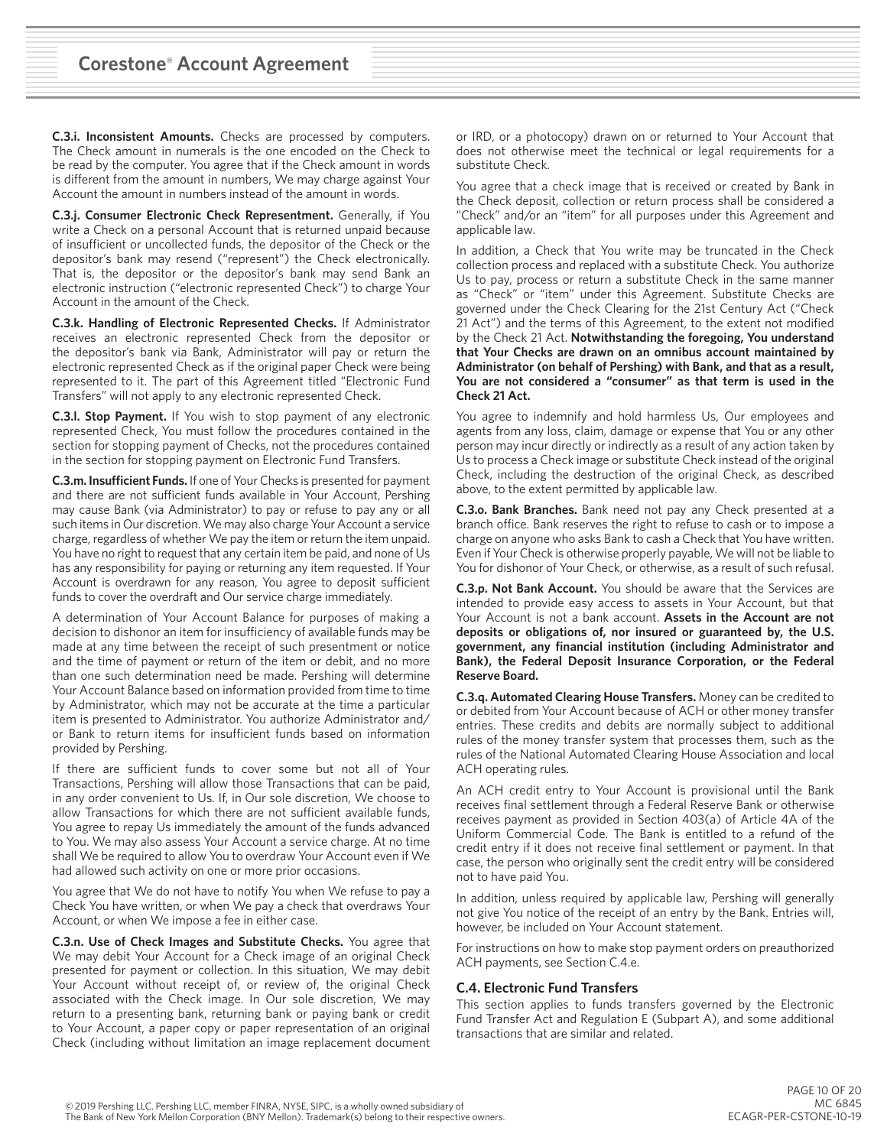**C.3.i. Inconsistent Amounts.** Checks are processed by computers. The Check amount in numerals is the one encoded on the Check to be read by the computer. You agree that if the Check amount in words is different from the amount in numbers, We may charge against Your Account the amount in numbers instead of the amount in words.

**C.3.j. Consumer Electronic Check Representment.** Generally, if You write a Check on a personal Account that is returned unpaid because of insufficient or uncollected funds, the depositor of the Check or the depositor's bank may resend ("represent") the Check electronically. That is, the depositor or the depositor's bank may send Bank an electronic instruction ("electronic represented Check") to charge Your Account in the amount of the Check.

**C.3.k. Handling of Electronic Represented Checks.** If Administrator receives an electronic represented Check from the depositor or the depositor's bank via Bank, Administrator will pay or return the electronic represented Check as if the original paper Check were being represented to it. The part of this Agreement titled "Electronic Fund Transfers" will not apply to any electronic represented Check.

**C.3.l. Stop Payment.** If You wish to stop payment of any electronic represented Check, You must follow the procedures contained in the section for stopping payment of Checks, not the procedures contained in the section for stopping payment on Electronic Fund Transfers.

**C.3.m. Insufficient Funds.** If one of Your Checks is presented for payment and there are not sufficient funds available in Your Account, Pershing may cause Bank (via Administrator) to pay or refuse to pay any or all such items in Our discretion. We may also charge Your Account a service charge, regardless of whether We pay the item or return the item unpaid. You have no right to request that any certain item be paid, and none of Us has any responsibility for paying or returning any item requested. If Your Account is overdrawn for any reason, You agree to deposit sufficient funds to cover the overdraft and Our service charge immediately.

A determination of Your Account Balance for purposes of making a decision to dishonor an item for insufficiency of available funds may be made at any time between the receipt of such presentment or notice and the time of payment or return of the item or debit, and no more than one such determination need be made. Pershing will determine Your Account Balance based on information provided from time to time by Administrator, which may not be accurate at the time a particular item is presented to Administrator. You authorize Administrator and/ or Bank to return items for insufficient funds based on information provided by Pershing.

If there are sufficient funds to cover some but not all of Your Transactions, Pershing will allow those Transactions that can be paid, in any order convenient to Us. If, in Our sole discretion, We choose to allow Transactions for which there are not sufficient available funds, You agree to repay Us immediately the amount of the funds advanced to You. We may also assess Your Account a service charge. At no time shall We be required to allow You to overdraw Your Account even if We had allowed such activity on one or more prior occasions.

You agree that We do not have to notify You when We refuse to pay a Check You have written, or when We pay a check that overdraws Your Account, or when We impose a fee in either case.

**C.3.n. Use of Check Images and Substitute Checks.** You agree that We may debit Your Account for a Check image of an original Check presented for payment or collection. In this situation, We may debit Your Account without receipt of, or review of, the original Check associated with the Check image. In Our sole discretion, We may return to a presenting bank, returning bank or paying bank or credit to Your Account, a paper copy or paper representation of an original Check (including without limitation an image replacement document or IRD, or a photocopy) drawn on or returned to Your Account that does not otherwise meet the technical or legal requirements for a substitute Check.

You agree that a check image that is received or created by Bank in the Check deposit, collection or return process shall be considered a "Check" and/or an "item" for all purposes under this Agreement and applicable law.

In addition, a Check that You write may be truncated in the Check collection process and replaced with a substitute Check. You authorize Us to pay, process or return a substitute Check in the same manner as "Check" or "item" under this Agreement. Substitute Checks are governed under the Check Clearing for the 21st Century Act ("Check 21 Act") and the terms of this Agreement, to the extent not modified by the Check 21 Act. **Notwithstanding the foregoing, You understand that Your Checks are drawn on an omnibus account maintained by Administrator (on behalf of Pershing) with Bank, and that as a result, You are not considered a "consumer" as that term is used in the Check 21 Act.**

You agree to indemnify and hold harmless Us, Our employees and agents from any loss, claim, damage or expense that You or any other person may incur directly or indirectly as a result of any action taken by Us to process a Check image or substitute Check instead of the original Check, including the destruction of the original Check, as described above, to the extent permitted by applicable law.

**C.3.o. Bank Branches.** Bank need not pay any Check presented at a branch office. Bank reserves the right to refuse to cash or to impose a charge on anyone who asks Bank to cash a Check that You have written. Even if Your Check is otherwise properly payable, We will not be liable to You for dishonor of Your Check, or otherwise, as a result of such refusal.

**C.3.p. Not Bank Account.** You should be aware that the Services are intended to provide easy access to assets in Your Account, but that Your Account is not a bank account. **Assets in the Account are not deposits or obligations of, nor insured or guaranteed by, the U.S. government, any financial institution (including Administrator and Bank), the Federal Deposit Insurance Corporation, or the Federal Reserve Board.**

**C.3.q. Automated Clearing House Transfers.** Money can be credited to or debited from Your Account because of ACH or other money transfer entries. These credits and debits are normally subject to additional rules of the money transfer system that processes them, such as the rules of the National Automated Clearing House Association and local ACH operating rules.

An ACH credit entry to Your Account is provisional until the Bank receives final settlement through a Federal Reserve Bank or otherwise receives payment as provided in Section 403(a) of Article 4A of the Uniform Commercial Code. The Bank is entitled to a refund of the credit entry if it does not receive final settlement or payment. In that case, the person who originally sent the credit entry will be considered not to have paid You.

In addition, unless required by applicable law, Pershing will generally not give You notice of the receipt of an entry by the Bank. Entries will, however, be included on Your Account statement.

For instructions on how to make stop payment orders on preauthorized ACH payments, see Section C.4.e.

# **C.4. Electronic Fund Transfers**

This section applies to funds transfers governed by the Electronic Fund Transfer Act and Regulation E (Subpart A), and some additional transactions that are similar and related.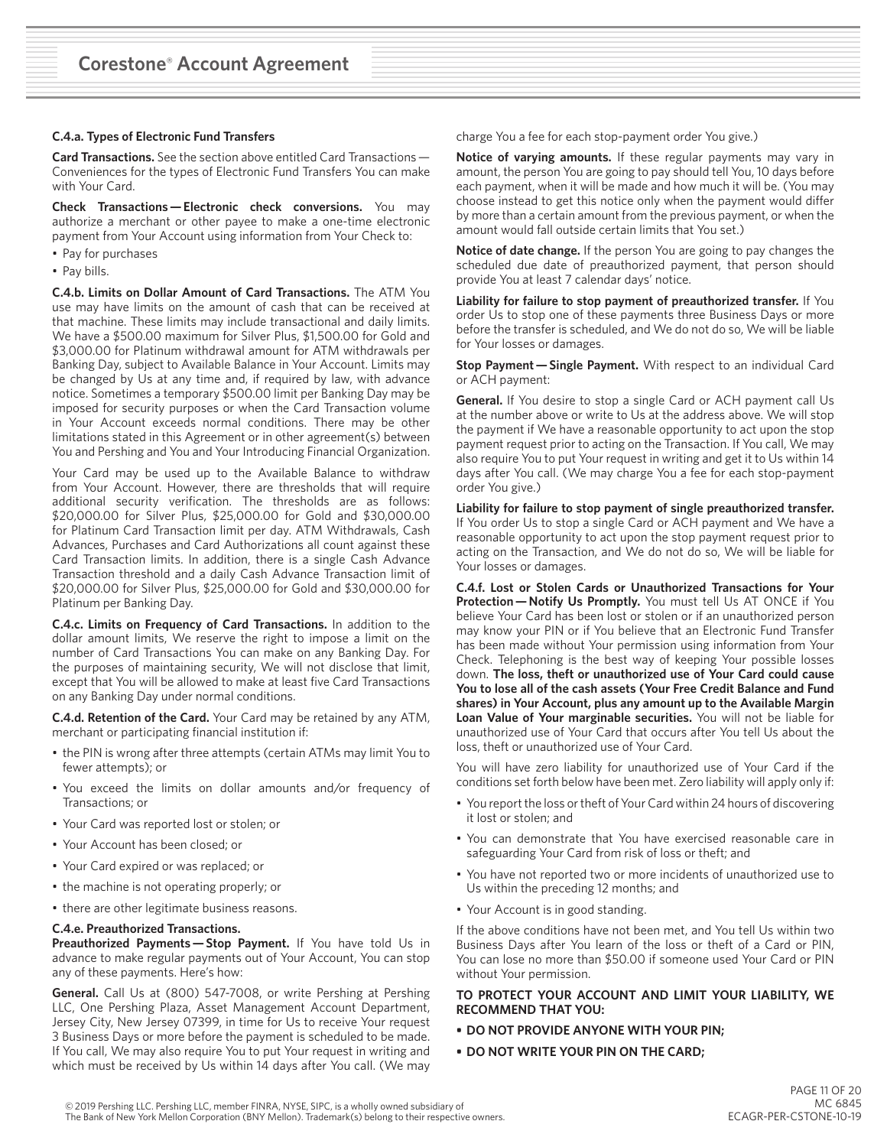#### **C.4.a. Types of Electronic Fund Transfers**

**Card Transactions.** See the section above entitled Card Transactions —  Conveniences for the types of Electronic Fund Transfers You can make with Your Card.

**Check Transactions — Electronic check conversions.** You may authorize a merchant or other payee to make a one-time electronic payment from Your Account using information from Your Check to:

- Pay for purchases
- Pay bills.

**C.4.b. Limits on Dollar Amount of Card Transactions.** The ATM You use may have limits on the amount of cash that can be received at that machine. These limits may include transactional and daily limits. We have a \$500.00 maximum for Silver Plus, \$1,500.00 for Gold and \$3,000.00 for Platinum withdrawal amount for ATM withdrawals per Banking Day, subject to Available Balance in Your Account. Limits may be changed by Us at any time and, if required by law, with advance notice. Sometimes a temporary \$500.00 limit per Banking Day may be imposed for security purposes or when the Card Transaction volume in Your Account exceeds normal conditions. There may be other limitations stated in this Agreement or in other agreement(s) between You and Pershing and You and Your Introducing Financial Organization.

Your Card may be used up to the Available Balance to withdraw from Your Account. However, there are thresholds that will require additional security verification. The thresholds are as follows: \$20,000.00 for Silver Plus, \$25,000.00 for Gold and \$30,000.00 for Platinum Card Transaction limit per day. ATM Withdrawals, Cash Advances, Purchases and Card Authorizations all count against these Card Transaction limits. In addition, there is a single Cash Advance Transaction threshold and a daily Cash Advance Transaction limit of \$20,000.00 for Silver Plus, \$25,000.00 for Gold and \$30,000.00 for Platinum per Banking Day.

**C.4.c. Limits on Frequency of Card Transactions.** In addition to the dollar amount limits, We reserve the right to impose a limit on the number of Card Transactions You can make on any Banking Day. For the purposes of maintaining security, We will not disclose that limit, except that You will be allowed to make at least five Card Transactions on any Banking Day under normal conditions.

**C.4.d. Retention of the Card.** Your Card may be retained by any ATM, merchant or participating financial institution if:

- the PIN is wrong after three attempts (certain ATMs may limit You to fewer attempts); or
- You exceed the limits on dollar amounts and/or frequency of Transactions; or
- Your Card was reported lost or stolen; or
- Your Account has been closed; or
- Your Card expired or was replaced; or
- the machine is not operating properly; or
- there are other legitimate business reasons.

#### **C.4.e. Preauthorized Transactions.**

**Preauthorized Payments — Stop Payment.** If You have told Us in advance to make regular payments out of Your Account, You can stop any of these payments. Here's how:

**General.** Call Us at (800) 547-7008, or write Pershing at Pershing LLC, One Pershing Plaza, Asset Management Account Department, Jersey City, New Jersey 07399, in time for Us to receive Your request 3 Business Days or more before the payment is scheduled to be made. If You call, We may also require You to put Your request in writing and which must be received by Us within 14 days after You call. (We may

charge You a fee for each stop-payment order You give.)

**Notice of varying amounts.** If these regular payments may vary in amount, the person You are going to pay should tell You, 10 days before each payment, when it will be made and how much it will be. (You may choose instead to get this notice only when the payment would differ by more than a certain amount from the previous payment, or when the amount would fall outside certain limits that You set.)

**Notice of date change.** If the person You are going to pay changes the scheduled due date of preauthorized payment, that person should provide You at least 7 calendar days' notice.

**Liability for failure to stop payment of preauthorized transfer.** If You order Us to stop one of these payments three Business Days or more before the transfer is scheduled, and We do not do so, We will be liable for Your losses or damages.

**Stop Payment — Single Payment.** With respect to an individual Card or ACH payment:

**General.** If You desire to stop a single Card or ACH payment call Us at the number above or write to Us at the address above. We will stop the payment if We have a reasonable opportunity to act upon the stop payment request prior to acting on the Transaction. If You call, We may also require You to put Your request in writing and get it to Us within 14 days after You call. (We may charge You a fee for each stop-payment order You give.)

**Liability for failure to stop payment of single preauthorized transfer.** If You order Us to stop a single Card or ACH payment and We have a reasonable opportunity to act upon the stop payment request prior to acting on the Transaction, and We do not do so, We will be liable for Your losses or damages.

**C.4.f. Lost or Stolen Cards or Unauthorized Transactions for Your Protection — Notify Us Promptly.** You must tell Us AT ONCE if You believe Your Card has been lost or stolen or if an unauthorized person may know your PIN or if You believe that an Electronic Fund Transfer has been made without Your permission using information from Your Check. Telephoning is the best way of keeping Your possible losses down. **The loss, theft or unauthorized use of Your Card could cause You to lose all of the cash assets (Your Free Credit Balance and Fund shares) in Your Account, plus any amount up to the Available Margin Loan Value of Your marginable securities.** You will not be liable for unauthorized use of Your Card that occurs after You tell Us about the loss, theft or unauthorized use of Your Card.

You will have zero liability for unauthorized use of Your Card if the conditions set forth below have been met. Zero liability will apply only if:

- You report the loss or theft of Your Card within 24 hours of discovering it lost or stolen; and
- You can demonstrate that You have exercised reasonable care in safeguarding Your Card from risk of loss or theft; and
- You have not reported two or more incidents of unauthorized use to Us within the preceding 12 months; and
- Your Account is in good standing.

If the above conditions have not been met, and You tell Us within two Business Days after You learn of the loss or theft of a Card or PIN, You can lose no more than \$50.00 if someone used Your Card or PIN without Your permission.

#### **TO PROTECT YOUR ACCOUNT AND LIMIT YOUR LIABILITY, WE RECOMMEND THAT YOU:**

- **• DO NOT PROVIDE ANYONE WITH YOUR PIN;**
- **• DO NOT WRITE YOUR PIN ON THE CARD;**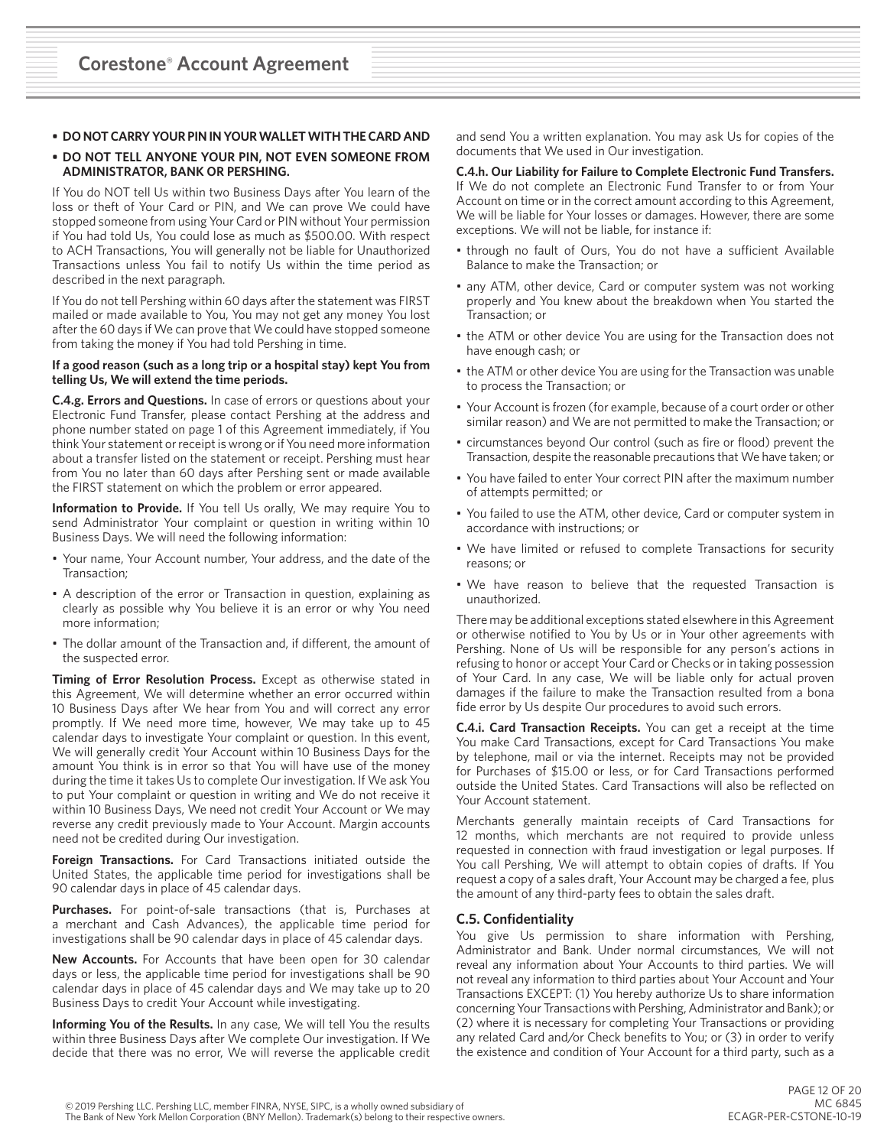## **• DO NOT CARRY YOUR PIN IN YOUR WALLET WITH THE CARD AND**

#### **• DO NOT TELL ANYONE YOUR PIN, NOT EVEN SOMEONE FROM ADMINISTRATOR, BANK OR PERSHING.**

If You do NOT tell Us within two Business Days after You learn of the loss or theft of Your Card or PIN, and We can prove We could have stopped someone from using Your Card or PIN without Your permission if You had told Us, You could lose as much as \$500.00. With respect to ACH Transactions, You will generally not be liable for Unauthorized Transactions unless You fail to notify Us within the time period as described in the next paragraph.

If You do not tell Pershing within 60 days after the statement was FIRST mailed or made available to You, You may not get any money You lost after the 60 days if We can prove that We could have stopped someone from taking the money if You had told Pershing in time.

#### **If a good reason (such as a long trip or a hospital stay) kept You from telling Us, We will extend the time periods.**

**C.4.g. Errors and Questions.** In case of errors or questions about your Electronic Fund Transfer, please contact Pershing at the address and phone number stated on page 1 of this Agreement immediately, if You think Your statement or receipt is wrong or if You need more information about a transfer listed on the statement or receipt. Pershing must hear from You no later than 60 days after Pershing sent or made available the FIRST statement on which the problem or error appeared.

**Information to Provide.** If You tell Us orally, We may require You to send Administrator Your complaint or question in writing within 10 Business Days. We will need the following information:

- Your name, Your Account number, Your address, and the date of the Transaction;
- A description of the error or Transaction in question, explaining as clearly as possible why You believe it is an error or why You need more information;
- The dollar amount of the Transaction and, if different, the amount of the suspected error.

**Timing of Error Resolution Process.** Except as otherwise stated in this Agreement, We will determine whether an error occurred within 10 Business Days after We hear from You and will correct any error promptly. If We need more time, however, We may take up to 45 calendar days to investigate Your complaint or question. In this event, We will generally credit Your Account within 10 Business Days for the amount You think is in error so that You will have use of the money during the time it takes Us to complete Our investigation. If We ask You to put Your complaint or question in writing and We do not receive it within 10 Business Days, We need not credit Your Account or We may reverse any credit previously made to Your Account. Margin accounts need not be credited during Our investigation.

**Foreign Transactions.** For Card Transactions initiated outside the United States, the applicable time period for investigations shall be 90 calendar days in place of 45 calendar days.

**Purchases.** For point-of-sale transactions (that is, Purchases at a merchant and Cash Advances), the applicable time period for investigations shall be 90 calendar days in place of 45 calendar days.

**New Accounts.** For Accounts that have been open for 30 calendar days or less, the applicable time period for investigations shall be 90 calendar days in place of 45 calendar days and We may take up to 20 Business Days to credit Your Account while investigating.

**Informing You of the Results.** In any case, We will tell You the results within three Business Days after We complete Our investigation. If We decide that there was no error, We will reverse the applicable credit and send You a written explanation. You may ask Us for copies of the documents that We used in Our investigation.

# **C.4.h. Our Liability for Failure to Complete Electronic Fund Transfers.**

If We do not complete an Electronic Fund Transfer to or from Your Account on time or in the correct amount according to this Agreement, We will be liable for Your losses or damages. However, there are some exceptions. We will not be liable, for instance if:

- through no fault of Ours, You do not have a sufficient Available Balance to make the Transaction; or
- any ATM, other device, Card or computer system was not working properly and You knew about the breakdown when You started the Transaction; or
- the ATM or other device You are using for the Transaction does not have enough cash; or
- the ATM or other device You are using for the Transaction was unable to process the Transaction; or
- Your Account is frozen (for example, because of a court order or other similar reason) and We are not permitted to make the Transaction; or
- circumstances beyond Our control (such as fire or flood) prevent the Transaction, despite the reasonable precautions that We have taken; or
- You have failed to enter Your correct PIN after the maximum number of attempts permitted; or
- You failed to use the ATM, other device, Card or computer system in accordance with instructions; or
- We have limited or refused to complete Transactions for security reasons; or
- We have reason to believe that the requested Transaction is unauthorized.

There may be additional exceptions stated elsewhere in this Agreement or otherwise notified to You by Us or in Your other agreements with Pershing. None of Us will be responsible for any person's actions in refusing to honor or accept Your Card or Checks or in taking possession of Your Card. In any case, We will be liable only for actual proven damages if the failure to make the Transaction resulted from a bona fide error by Us despite Our procedures to avoid such errors.

**C.4.i. Card Transaction Receipts.** You can get a receipt at the time You make Card Transactions, except for Card Transactions You make by telephone, mail or via the internet. Receipts may not be provided for Purchases of \$15.00 or less, or for Card Transactions performed outside the United States. Card Transactions will also be reflected on Your Account statement.

Merchants generally maintain receipts of Card Transactions for 12 months, which merchants are not required to provide unless requested in connection with fraud investigation or legal purposes. If You call Pershing, We will attempt to obtain copies of drafts. If You request a copy of a sales draft, Your Account may be charged a fee, plus the amount of any third-party fees to obtain the sales draft.

## **C.5. Confidentiality**

You give Us permission to share information with Pershing, Administrator and Bank. Under normal circumstances, We will not reveal any information about Your Accounts to third parties. We will not reveal any information to third parties about Your Account and Your Transactions EXCEPT: (1) You hereby authorize Us to share information concerning Your Transactions with Pershing, Administrator and Bank); or (2) where it is necessary for completing Your Transactions or providing any related Card and/or Check benefits to You; or (3) in order to verify the existence and condition of Your Account for a third party, such as a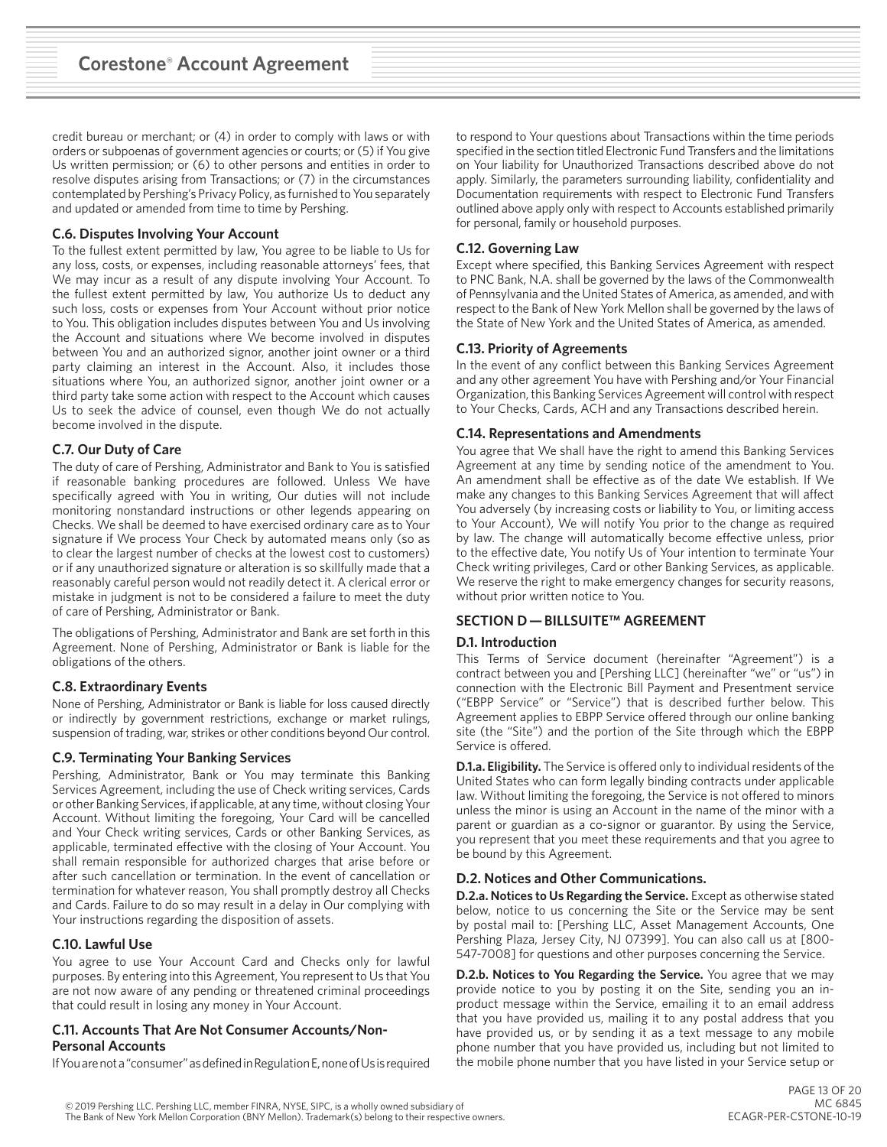credit bureau or merchant; or (4) in order to comply with laws or with orders or subpoenas of government agencies or courts; or (5) if You give Us written permission; or (6) to other persons and entities in order to resolve disputes arising from Transactions; or (7) in the circumstances contemplated by Pershing's Privacy Policy, as furnished to You separately and updated or amended from time to time by Pershing.

# **C.6. Disputes Involving Your Account**

To the fullest extent permitted by law, You agree to be liable to Us for any loss, costs, or expenses, including reasonable attorneys' fees, that We may incur as a result of any dispute involving Your Account. To the fullest extent permitted by law, You authorize Us to deduct any such loss, costs or expenses from Your Account without prior notice to You. This obligation includes disputes between You and Us involving the Account and situations where We become involved in disputes between You and an authorized signor, another joint owner or a third party claiming an interest in the Account. Also, it includes those situations where You, an authorized signor, another joint owner or a third party take some action with respect to the Account which causes Us to seek the advice of counsel, even though We do not actually become involved in the dispute.

# **C.7. Our Duty of Care**

The duty of care of Pershing, Administrator and Bank to You is satisfied if reasonable banking procedures are followed. Unless We have specifically agreed with You in writing, Our duties will not include monitoring nonstandard instructions or other legends appearing on Checks. We shall be deemed to have exercised ordinary care as to Your signature if We process Your Check by automated means only (so as to clear the largest number of checks at the lowest cost to customers) or if any unauthorized signature or alteration is so skillfully made that a reasonably careful person would not readily detect it. A clerical error or mistake in judgment is not to be considered a failure to meet the duty of care of Pershing, Administrator or Bank.

The obligations of Pershing, Administrator and Bank are set forth in this Agreement. None of Pershing, Administrator or Bank is liable for the obligations of the others.

## **C.8. Extraordinary Events**

None of Pershing, Administrator or Bank is liable for loss caused directly or indirectly by government restrictions, exchange or market rulings, suspension of trading, war, strikes or other conditions beyond Our control.

## **C.9. Terminating Your Banking Services**

Pershing, Administrator, Bank or You may terminate this Banking Services Agreement, including the use of Check writing services, Cards or other Banking Services, if applicable, at any time, without closing Your Account. Without limiting the foregoing, Your Card will be cancelled and Your Check writing services, Cards or other Banking Services, as applicable, terminated effective with the closing of Your Account. You shall remain responsible for authorized charges that arise before or after such cancellation or termination. In the event of cancellation or termination for whatever reason, You shall promptly destroy all Checks and Cards. Failure to do so may result in a delay in Our complying with Your instructions regarding the disposition of assets.

# **C.10. Lawful Use**

You agree to use Your Account Card and Checks only for lawful purposes. By entering into this Agreement, You represent to Us that You are not now aware of any pending or threatened criminal proceedings that could result in losing any money in Your Account.

## **C.11. Accounts That Are Not Consumer Accounts/Non-Personal Accounts**

If You are not a "consumer" as defined in Regulation E, none of Us is required

to respond to Your questions about Transactions within the time periods specified in the section titled Electronic Fund Transfers and the limitations on Your liability for Unauthorized Transactions described above do not apply. Similarly, the parameters surrounding liability, confidentiality and Documentation requirements with respect to Electronic Fund Transfers outlined above apply only with respect to Accounts established primarily for personal, family or household purposes.

# **C.12. Governing Law**

Except where specified, this Banking Services Agreement with respect to PNC Bank, N.A. shall be governed by the laws of the Commonwealth of Pennsylvania and the United States of America, as amended, and with respect to the Bank of New York Mellon shall be governed by the laws of the State of New York and the United States of America, as amended.

## **C.13. Priority of Agreements**

In the event of any conflict between this Banking Services Agreement and any other agreement You have with Pershing and/or Your Financial Organization, this Banking Services Agreement will control with respect to Your Checks, Cards, ACH and any Transactions described herein.

# **C.14. Representations and Amendments**

You agree that We shall have the right to amend this Banking Services Agreement at any time by sending notice of the amendment to You. An amendment shall be effective as of the date We establish. If We make any changes to this Banking Services Agreement that will affect You adversely (by increasing costs or liability to You, or limiting access to Your Account), We will notify You prior to the change as required by law. The change will automatically become effective unless, prior to the effective date, You notify Us of Your intention to terminate Your Check writing privileges, Card or other Banking Services, as applicable. We reserve the right to make emergency changes for security reasons, without prior written notice to You.

# **SECTION D — BILLSUITE™ AGREEMENT**

# **D.1. Introduction**

This Terms of Service document (hereinafter "Agreement") is a contract between you and [Pershing LLC] (hereinafter "we" or "us") in connection with the Electronic Bill Payment and Presentment service ("EBPP Service" or "Service") that is described further below. This Agreement applies to EBPP Service offered through our online banking site (the "Site") and the portion of the Site through which the EBPP Service is offered.

**D.1.a. Eligibility.** The Service is offered only to individual residents of the United States who can form legally binding contracts under applicable law. Without limiting the foregoing, the Service is not offered to minors unless the minor is using an Account in the name of the minor with a parent or guardian as a co-signor or guarantor. By using the Service, you represent that you meet these requirements and that you agree to be bound by this Agreement.

## **D.2. Notices and Other Communications.**

**D.2.a. Notices to Us Regarding the Service.** Except as otherwise stated below, notice to us concerning the Site or the Service may be sent by postal mail to: [Pershing LLC, Asset Management Accounts, One Pershing Plaza, Jersey City, NJ 07399]. You can also call us at [800- 547-7008] for questions and other purposes concerning the Service.

**D.2.b. Notices to You Regarding the Service.** You agree that we may provide notice to you by posting it on the Site, sending you an inproduct message within the Service, emailing it to an email address that you have provided us, mailing it to any postal address that you have provided us, or by sending it as a text message to any mobile phone number that you have provided us, including but not limited to the mobile phone number that you have listed in your Service setup or

© 2019 Pershing LLC. Pershing LLC, member FINRA, NYSE, SIPC, is a wholly owned subsidiary of The Bank of New York Mellon Corporation (BNY Mellon). Trademark(s) belong to their respective owners.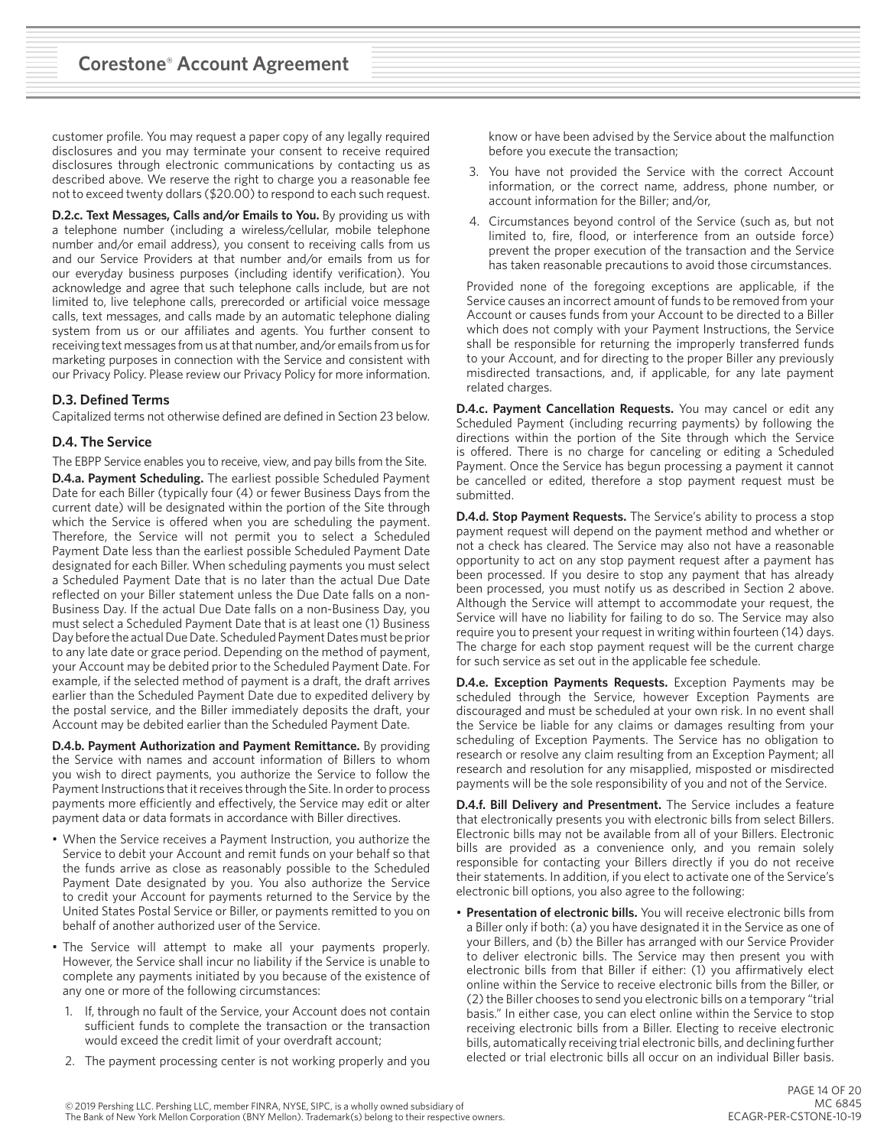customer profile. You may request a paper copy of any legally required disclosures and you may terminate your consent to receive required disclosures through electronic communications by contacting us as described above. We reserve the right to charge you a reasonable fee not to exceed twenty dollars (\$20.00) to respond to each such request.

**D.2.c. Text Messages, Calls and/or Emails to You.** By providing us with a telephone number (including a wireless/cellular, mobile telephone number and/or email address), you consent to receiving calls from us and our Service Providers at that number and/or emails from us for our everyday business purposes (including identify verification). You acknowledge and agree that such telephone calls include, but are not limited to, live telephone calls, prerecorded or artificial voice message calls, text messages, and calls made by an automatic telephone dialing system from us or our affiliates and agents. You further consent to receiving text messages from us at that number, and/or emails from us for marketing purposes in connection with the Service and consistent with our Privacy Policy. Please review our Privacy Policy for more information.

## **D.3. Defined Terms**

Capitalized terms not otherwise defined are defined in Section 23 below.

## **D.4. The Service**

The EBPP Service enables you to receive, view, and pay bills from the Site. **D.4.a. Payment Scheduling.** The earliest possible Scheduled Payment Date for each Biller (typically four (4) or fewer Business Days from the current date) will be designated within the portion of the Site through which the Service is offered when you are scheduling the payment. Therefore, the Service will not permit you to select a Scheduled Payment Date less than the earliest possible Scheduled Payment Date designated for each Biller. When scheduling payments you must select a Scheduled Payment Date that is no later than the actual Due Date reflected on your Biller statement unless the Due Date falls on a non-Business Day. If the actual Due Date falls on a non-Business Day, you must select a Scheduled Payment Date that is at least one (1) Business Day before the actual Due Date. Scheduled Payment Dates must be prior to any late date or grace period. Depending on the method of payment, your Account may be debited prior to the Scheduled Payment Date. For example, if the selected method of payment is a draft, the draft arrives earlier than the Scheduled Payment Date due to expedited delivery by the postal service, and the Biller immediately deposits the draft, your Account may be debited earlier than the Scheduled Payment Date.

**D.4.b. Payment Authorization and Payment Remittance.** By providing the Service with names and account information of Billers to whom you wish to direct payments, you authorize the Service to follow the Payment Instructions that it receives through the Site. In order to process payments more efficiently and effectively, the Service may edit or alter payment data or data formats in accordance with Biller directives.

- When the Service receives a Payment Instruction, you authorize the Service to debit your Account and remit funds on your behalf so that the funds arrive as close as reasonably possible to the Scheduled Payment Date designated by you. You also authorize the Service to credit your Account for payments returned to the Service by the United States Postal Service or Biller, or payments remitted to you on behalf of another authorized user of the Service.
- The Service will attempt to make all your payments properly. However, the Service shall incur no liability if the Service is unable to complete any payments initiated by you because of the existence of any one or more of the following circumstances:
	- 1. If, through no fault of the Service, your Account does not contain sufficient funds to complete the transaction or the transaction would exceed the credit limit of your overdraft account;
	- 2. The payment processing center is not working properly and you

know or have been advised by the Service about the malfunction before you execute the transaction;

- 3. You have not provided the Service with the correct Account information, or the correct name, address, phone number, or account information for the Biller; and/or,
- 4. Circumstances beyond control of the Service (such as, but not limited to, fire, flood, or interference from an outside force) prevent the proper execution of the transaction and the Service has taken reasonable precautions to avoid those circumstances.

Provided none of the foregoing exceptions are applicable, if the Service causes an incorrect amount of funds to be removed from your Account or causes funds from your Account to be directed to a Biller which does not comply with your Payment Instructions, the Service shall be responsible for returning the improperly transferred funds to your Account, and for directing to the proper Biller any previously misdirected transactions, and, if applicable, for any late payment related charges.

**D.4.c. Payment Cancellation Requests.** You may cancel or edit any Scheduled Payment (including recurring payments) by following the directions within the portion of the Site through which the Service is offered. There is no charge for canceling or editing a Scheduled Payment. Once the Service has begun processing a payment it cannot be cancelled or edited, therefore a stop payment request must be submitted.

**D.4.d. Stop Payment Requests.** The Service's ability to process a stop payment request will depend on the payment method and whether or not a check has cleared. The Service may also not have a reasonable opportunity to act on any stop payment request after a payment has been processed. If you desire to stop any payment that has already been processed, you must notify us as described in Section 2 above. Although the Service will attempt to accommodate your request, the Service will have no liability for failing to do so. The Service may also require you to present your request in writing within fourteen (14) days. The charge for each stop payment request will be the current charge for such service as set out in the applicable fee schedule.

**D.4.e. Exception Payments Requests.** Exception Payments may be scheduled through the Service, however Exception Payments are discouraged and must be scheduled at your own risk. In no event shall the Service be liable for any claims or damages resulting from your scheduling of Exception Payments. The Service has no obligation to research or resolve any claim resulting from an Exception Payment; all research and resolution for any misapplied, misposted or misdirected payments will be the sole responsibility of you and not of the Service.

**D.4.f. Bill Delivery and Presentment.** The Service includes a feature that electronically presents you with electronic bills from select Billers. Electronic bills may not be available from all of your Billers. Electronic bills are provided as a convenience only, and you remain solely responsible for contacting your Billers directly if you do not receive their statements. In addition, if you elect to activate one of the Service's electronic bill options, you also agree to the following:

• **Presentation of electronic bills.** You will receive electronic bills from a Biller only if both: (a) you have designated it in the Service as one of your Billers, and (b) the Biller has arranged with our Service Provider to deliver electronic bills. The Service may then present you with electronic bills from that Biller if either: (1) you affirmatively elect online within the Service to receive electronic bills from the Biller, or (2) the Biller chooses to send you electronic bills on a temporary "trial basis." In either case, you can elect online within the Service to stop receiving electronic bills from a Biller. Electing to receive electronic bills, automatically receiving trial electronic bills, and declining further elected or trial electronic bills all occur on an individual Biller basis.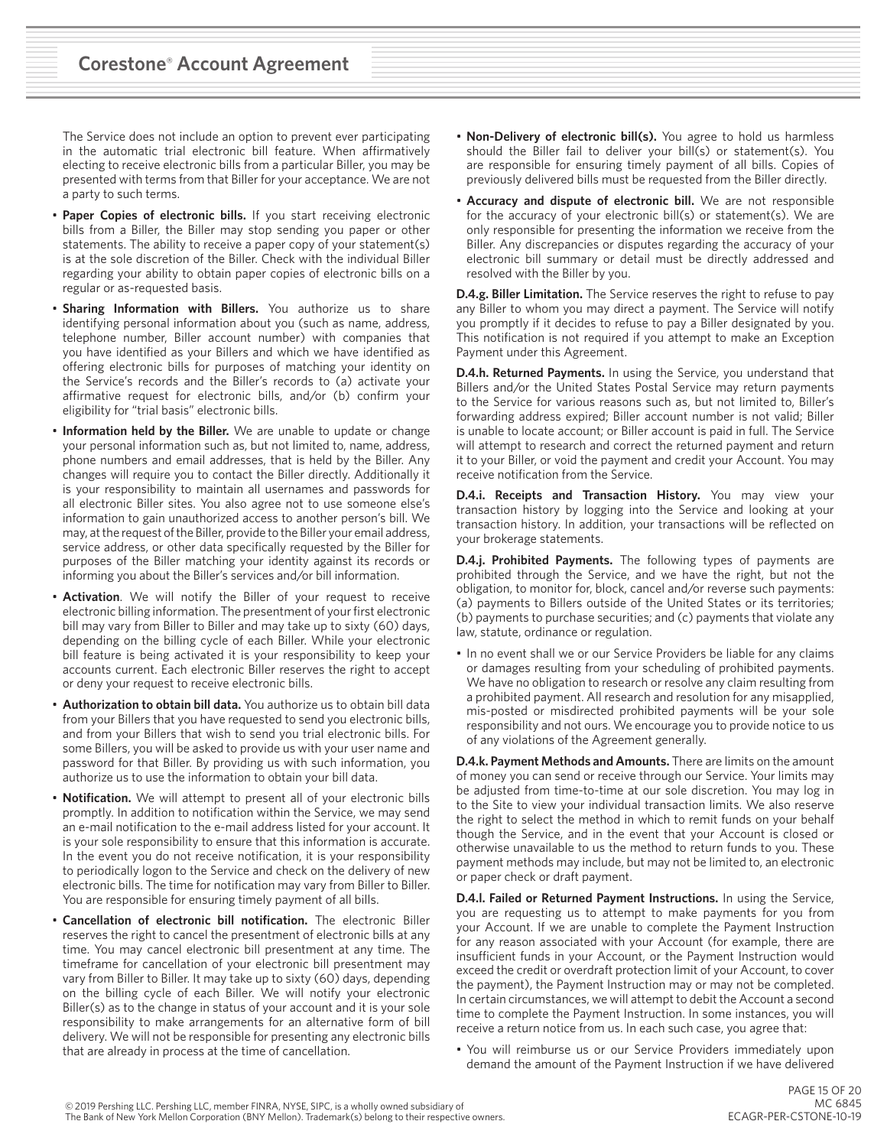The Service does not include an option to prevent ever participating in the automatic trial electronic bill feature. When affirmatively electing to receive electronic bills from a particular Biller, you may be presented with terms from that Biller for your acceptance. We are not a party to such terms.

- **Paper Copies of electronic bills.** If you start receiving electronic bills from a Biller, the Biller may stop sending you paper or other statements. The ability to receive a paper copy of your statement(s) is at the sole discretion of the Biller. Check with the individual Biller regarding your ability to obtain paper copies of electronic bills on a regular or as-requested basis.
- **Sharing Information with Billers.** You authorize us to share identifying personal information about you (such as name, address, telephone number, Biller account number) with companies that you have identified as your Billers and which we have identified as offering electronic bills for purposes of matching your identity on the Service's records and the Biller's records to (a) activate your affirmative request for electronic bills, and/or (b) confirm your eligibility for "trial basis" electronic bills.
- **Information held by the Biller.** We are unable to update or change your personal information such as, but not limited to, name, address, phone numbers and email addresses, that is held by the Biller. Any changes will require you to contact the Biller directly. Additionally it is your responsibility to maintain all usernames and passwords for all electronic Biller sites. You also agree not to use someone else's information to gain unauthorized access to another person's bill. We may, at the request of the Biller, provide to the Biller your email address, service address, or other data specifically requested by the Biller for purposes of the Biller matching your identity against its records or informing you about the Biller's services and/or bill information.
- **Activation**. We will notify the Biller of your request to receive electronic billing information. The presentment of your first electronic bill may vary from Biller to Biller and may take up to sixty (60) days, depending on the billing cycle of each Biller. While your electronic bill feature is being activated it is your responsibility to keep your accounts current. Each electronic Biller reserves the right to accept or deny your request to receive electronic bills.
- **Authorization to obtain bill data.** You authorize us to obtain bill data from your Billers that you have requested to send you electronic bills, and from your Billers that wish to send you trial electronic bills. For some Billers, you will be asked to provide us with your user name and password for that Biller. By providing us with such information, you authorize us to use the information to obtain your bill data.
- **Notification.** We will attempt to present all of your electronic bills promptly. In addition to notification within the Service, we may send an e-mail notification to the e-mail address listed for your account. It is your sole responsibility to ensure that this information is accurate. In the event you do not receive notification, it is your responsibility to periodically logon to the Service and check on the delivery of new electronic bills. The time for notification may vary from Biller to Biller. You are responsible for ensuring timely payment of all bills.
- **Cancellation of electronic bill notification.** The electronic Biller reserves the right to cancel the presentment of electronic bills at any time. You may cancel electronic bill presentment at any time. The timeframe for cancellation of your electronic bill presentment may vary from Biller to Biller. It may take up to sixty (60) days, depending on the billing cycle of each Biller. We will notify your electronic Biller(s) as to the change in status of your account and it is your sole responsibility to make arrangements for an alternative form of bill delivery. We will not be responsible for presenting any electronic bills that are already in process at the time of cancellation.
- **Non-Delivery of electronic bill(s).** You agree to hold us harmless should the Biller fail to deliver your bill(s) or statement(s). You are responsible for ensuring timely payment of all bills. Copies of previously delivered bills must be requested from the Biller directly.
- **Accuracy and dispute of electronic bill.** We are not responsible for the accuracy of your electronic bill(s) or statement(s). We are only responsible for presenting the information we receive from the Biller. Any discrepancies or disputes regarding the accuracy of your electronic bill summary or detail must be directly addressed and resolved with the Biller by you.

**D.4.g. Biller Limitation.** The Service reserves the right to refuse to pay any Biller to whom you may direct a payment. The Service will notify you promptly if it decides to refuse to pay a Biller designated by you. This notification is not required if you attempt to make an Exception Payment under this Agreement.

**D.4.h. Returned Payments.** In using the Service, you understand that Billers and/or the United States Postal Service may return payments to the Service for various reasons such as, but not limited to, Biller's forwarding address expired; Biller account number is not valid; Biller is unable to locate account; or Biller account is paid in full. The Service will attempt to research and correct the returned payment and return it to your Biller, or void the payment and credit your Account. You may receive notification from the Service.

**D.4.i. Receipts and Transaction History.** You may view your transaction history by logging into the Service and looking at your transaction history. In addition, your transactions will be reflected on your brokerage statements.

**D.4.j. Prohibited Payments.** The following types of payments are prohibited through the Service, and we have the right, but not the obligation, to monitor for, block, cancel and/or reverse such payments: (a) payments to Billers outside of the United States or its territories; (b) payments to purchase securities; and (c) payments that violate any law, statute, ordinance or regulation.

• In no event shall we or our Service Providers be liable for any claims or damages resulting from your scheduling of prohibited payments. We have no obligation to research or resolve any claim resulting from a prohibited payment. All research and resolution for any misapplied, mis-posted or misdirected prohibited payments will be your sole responsibility and not ours. We encourage you to provide notice to us of any violations of the Agreement generally.

**D.4.k. Payment Methods and Amounts.** There are limits on the amount of money you can send or receive through our Service. Your limits may be adjusted from time-to-time at our sole discretion. You may log in to the Site to view your individual transaction limits. We also reserve the right to select the method in which to remit funds on your behalf though the Service, and in the event that your Account is closed or otherwise unavailable to us the method to return funds to you. These payment methods may include, but may not be limited to, an electronic or paper check or draft payment.

**D.4.l. Failed or Returned Payment Instructions.** In using the Service, you are requesting us to attempt to make payments for you from your Account. If we are unable to complete the Payment Instruction for any reason associated with your Account (for example, there are insufficient funds in your Account, or the Payment Instruction would exceed the credit or overdraft protection limit of your Account, to cover the payment), the Payment Instruction may or may not be completed. In certain circumstances, we will attempt to debit the Account a second time to complete the Payment Instruction. In some instances, you will receive a return notice from us. In each such case, you agree that:

• You will reimburse us or our Service Providers immediately upon demand the amount of the Payment Instruction if we have delivered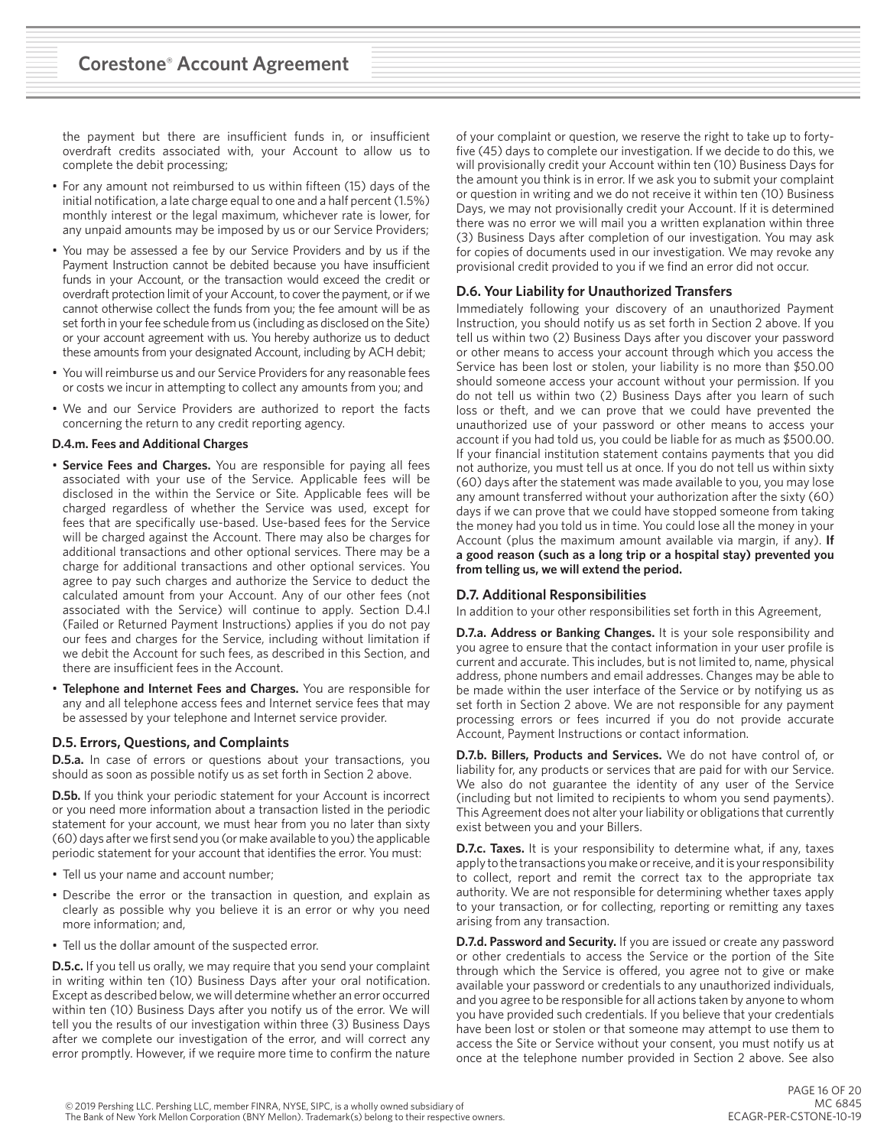the payment but there are insufficient funds in, or insufficient overdraft credits associated with, your Account to allow us to complete the debit processing;

- For any amount not reimbursed to us within fifteen (15) days of the initial notification, a late charge equal to one and a half percent (1.5%) monthly interest or the legal maximum, whichever rate is lower, for any unpaid amounts may be imposed by us or our Service Providers;
- You may be assessed a fee by our Service Providers and by us if the Payment Instruction cannot be debited because you have insufficient funds in your Account, or the transaction would exceed the credit or overdraft protection limit of your Account, to cover the payment, or if we cannot otherwise collect the funds from you; the fee amount will be as set forth in your fee schedule from us (including as disclosed on the Site) or your account agreement with us. You hereby authorize us to deduct these amounts from your designated Account, including by ACH debit;
- You will reimburse us and our Service Providers for any reasonable fees or costs we incur in attempting to collect any amounts from you; and
- We and our Service Providers are authorized to report the facts concerning the return to any credit reporting agency.

## **D.4.m. Fees and Additional Charges**

- **Service Fees and Charges.** You are responsible for paying all fees associated with your use of the Service. Applicable fees will be disclosed in the within the Service or Site. Applicable fees will be charged regardless of whether the Service was used, except for fees that are specifically use-based. Use-based fees for the Service will be charged against the Account. There may also be charges for additional transactions and other optional services. There may be a charge for additional transactions and other optional services. You agree to pay such charges and authorize the Service to deduct the calculated amount from your Account. Any of our other fees (not associated with the Service) will continue to apply. Section D.4.l (Failed or Returned Payment Instructions) applies if you do not pay our fees and charges for the Service, including without limitation if we debit the Account for such fees, as described in this Section, and there are insufficient fees in the Account.
- **Telephone and Internet Fees and Charges.** You are responsible for any and all telephone access fees and Internet service fees that may be assessed by your telephone and Internet service provider.

## **D.5. Errors, Questions, and Complaints**

**D.5.a.** In case of errors or questions about your transactions, you should as soon as possible notify us as set forth in Section 2 above.

**D.5b.** If you think your periodic statement for your Account is incorrect or you need more information about a transaction listed in the periodic statement for your account, we must hear from you no later than sixty (60) days after we first send you (or make available to you) the applicable periodic statement for your account that identifies the error. You must:

- Tell us your name and account number;
- Describe the error or the transaction in question, and explain as clearly as possible why you believe it is an error or why you need more information; and,
- Tell us the dollar amount of the suspected error.

**D.5.c.** If you tell us orally, we may require that you send your complaint in writing within ten (10) Business Days after your oral notification. Except as described below, we will determine whether an error occurred within ten (10) Business Days after you notify us of the error. We will tell you the results of our investigation within three (3) Business Days after we complete our investigation of the error, and will correct any error promptly. However, if we require more time to confirm the nature of your complaint or question, we reserve the right to take up to fortyfive (45) days to complete our investigation. If we decide to do this, we will provisionally credit your Account within ten (10) Business Days for the amount you think is in error. If we ask you to submit your complaint or question in writing and we do not receive it within ten (10) Business Days, we may not provisionally credit your Account. If it is determined there was no error we will mail you a written explanation within three (3) Business Days after completion of our investigation. You may ask for copies of documents used in our investigation. We may revoke any provisional credit provided to you if we find an error did not occur.

# **D.6. Your Liability for Unauthorized Transfers**

Immediately following your discovery of an unauthorized Payment Instruction, you should notify us as set forth in Section 2 above. If you tell us within two (2) Business Days after you discover your password or other means to access your account through which you access the Service has been lost or stolen, your liability is no more than \$50.00 should someone access your account without your permission. If you do not tell us within two (2) Business Days after you learn of such loss or theft, and we can prove that we could have prevented the unauthorized use of your password or other means to access your account if you had told us, you could be liable for as much as \$500.00. If your financial institution statement contains payments that you did not authorize, you must tell us at once. If you do not tell us within sixty (60) days after the statement was made available to you, you may lose any amount transferred without your authorization after the sixty (60) days if we can prove that we could have stopped someone from taking the money had you told us in time. You could lose all the money in your Account (plus the maximum amount available via margin, if any). **If a good reason (such as a long trip or a hospital stay) prevented you from telling us, we will extend the period.** 

## **D.7. Additional Responsibilities**

In addition to your other responsibilities set forth in this Agreement,

**D.7.a. Address or Banking Changes.** It is your sole responsibility and you agree to ensure that the contact information in your user profile is current and accurate. This includes, but is not limited to, name, physical address, phone numbers and email addresses. Changes may be able to be made within the user interface of the Service or by notifying us as set forth in Section 2 above. We are not responsible for any payment processing errors or fees incurred if you do not provide accurate Account, Payment Instructions or contact information.

**D.7.b. Billers, Products and Services.** We do not have control of, or liability for, any products or services that are paid for with our Service. We also do not guarantee the identity of any user of the Service (including but not limited to recipients to whom you send payments). This Agreement does not alter your liability or obligations that currently exist between you and your Billers.

**D.7.c. Taxes.** It is your responsibility to determine what, if any, taxes apply to the transactions you make or receive, and it is your responsibility to collect, report and remit the correct tax to the appropriate tax authority. We are not responsible for determining whether taxes apply to your transaction, or for collecting, reporting or remitting any taxes arising from any transaction.

**D.7.d. Password and Security.** If you are issued or create any password or other credentials to access the Service or the portion of the Site through which the Service is offered, you agree not to give or make available your password or credentials to any unauthorized individuals, and you agree to be responsible for all actions taken by anyone to whom you have provided such credentials. If you believe that your credentials have been lost or stolen or that someone may attempt to use them to access the Site or Service without your consent, you must notify us at once at the telephone number provided in Section 2 above. See also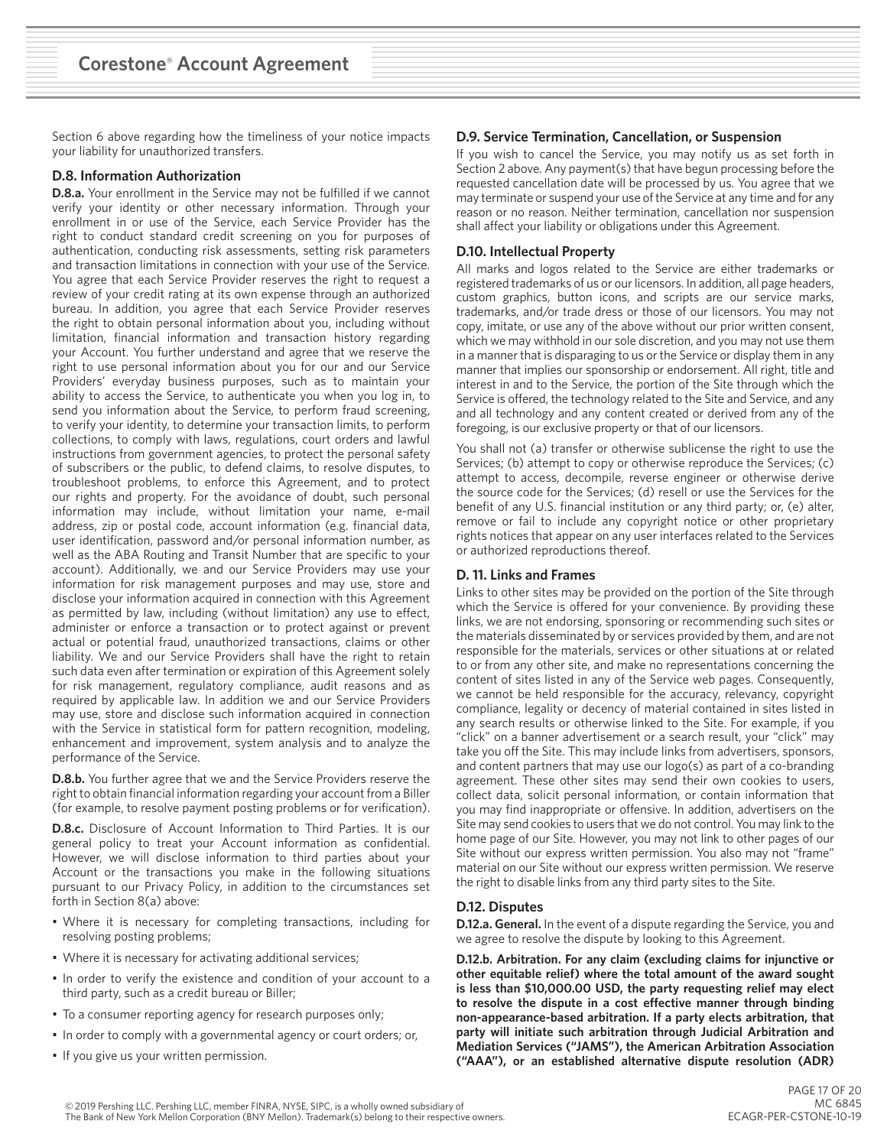Section 6 above regarding how the timeliness of your notice impacts your liability for unauthorized transfers.

# **D.8. Information Authorization**

**D.8.a.** Your enrollment in the Service may not be fulfilled if we cannot verify your identity or other necessary information. Through your enrollment in or use of the Service, each Service Provider has the right to conduct standard credit screening on you for purposes of authentication, conducting risk assessments, setting risk parameters and transaction limitations in connection with your use of the Service. You agree that each Service Provider reserves the right to request a review of your credit rating at its own expense through an authorized bureau. In addition, you agree that each Service Provider reserves the right to obtain personal information about you, including without limitation, financial information and transaction history regarding your Account. You further understand and agree that we reserve the right to use personal information about you for our and our Service Providers' everyday business purposes, such as to maintain your ability to access the Service, to authenticate you when you log in, to send you information about the Service, to perform fraud screening, to verify your identity, to determine your transaction limits, to perform collections, to comply with laws, regulations, court orders and lawful instructions from government agencies, to protect the personal safety of subscribers or the public, to defend claims, to resolve disputes, to troubleshoot problems, to enforce this Agreement, and to protect our rights and property. For the avoidance of doubt, such personal information may include, without limitation your name, e-mail address, zip or postal code, account information (e.g. financial data, user identification, password and/or personal information number, as well as the ABA Routing and Transit Number that are specific to your account). Additionally, we and our Service Providers may use your information for risk management purposes and may use, store and disclose your information acquired in connection with this Agreement as permitted by law, including (without limitation) any use to effect, administer or enforce a transaction or to protect against or prevent actual or potential fraud, unauthorized transactions, claims or other liability. We and our Service Providers shall have the right to retain such data even after termination or expiration of this Agreement solely for risk management, regulatory compliance, audit reasons and as required by applicable law. In addition we and our Service Providers may use, store and disclose such information acquired in connection with the Service in statistical form for pattern recognition, modeling, enhancement and improvement, system analysis and to analyze the performance of the Service.

**D.8.b.** You further agree that we and the Service Providers reserve the right to obtain financial information regarding your account from a Biller (for example, to resolve payment posting problems or for verification).

**D.8.c.** Disclosure of Account Information to Third Parties. It is our general policy to treat your Account information as confidential. However, we will disclose information to third parties about your Account or the transactions you make in the following situations pursuant to our Privacy Policy, in addition to the circumstances set forth in Section 8(a) above:

- Where it is necessary for completing transactions, including for resolving posting problems;
- Where it is necessary for activating additional services;
- In order to verify the existence and condition of your account to a third party, such as a credit bureau or Biller;
- To a consumer reporting agency for research purposes only;
- In order to comply with a governmental agency or court orders; or,
- If you give us your written permission.

## **D.9. Service Termination, Cancellation, or Suspension**

If you wish to cancel the Service, you may notify us as set forth in Section 2 above. Any payment(s) that have begun processing before the requested cancellation date will be processed by us. You agree that we may terminate or suspend your use of the Service at any time and for any reason or no reason. Neither termination, cancellation nor suspension shall affect your liability or obligations under this Agreement.

# **D.10. Intellectual Property**

All marks and logos related to the Service are either trademarks or registered trademarks of us or our licensors. In addition, all page headers, custom graphics, button icons, and scripts are our service marks, trademarks, and/or trade dress or those of our licensors. You may not copy, imitate, or use any of the above without our prior written consent, which we may withhold in our sole discretion, and you may not use them in a manner that is disparaging to us or the Service or display them in any manner that implies our sponsorship or endorsement. All right, title and interest in and to the Service, the portion of the Site through which the Service is offered, the technology related to the Site and Service, and any and all technology and any content created or derived from any of the foregoing, is our exclusive property or that of our licensors.

You shall not (a) transfer or otherwise sublicense the right to use the Services; (b) attempt to copy or otherwise reproduce the Services; (c) attempt to access, decompile, reverse engineer or otherwise derive the source code for the Services; (d) resell or use the Services for the benefit of any U.S. financial institution or any third party; or, (e) alter, remove or fail to include any copyright notice or other proprietary rights notices that appear on any user interfaces related to the Services or authorized reproductions thereof.

## **D. 11. Links and Frames**

Links to other sites may be provided on the portion of the Site through which the Service is offered for your convenience. By providing these links, we are not endorsing, sponsoring or recommending such sites or the materials disseminated by or services provided by them, and are not responsible for the materials, services or other situations at or related to or from any other site, and make no representations concerning the content of sites listed in any of the Service web pages. Consequently, we cannot be held responsible for the accuracy, relevancy, copyright compliance, legality or decency of material contained in sites listed in any search results or otherwise linked to the Site. For example, if you "click" on a banner advertisement or a search result, your "click" may take you off the Site. This may include links from advertisers, sponsors, and content partners that may use our logo(s) as part of a co-branding agreement. These other sites may send their own cookies to users, collect data, solicit personal information, or contain information that you may find inappropriate or offensive. In addition, advertisers on the Site may send cookies to users that we do not control. You may link to the home page of our Site. However, you may not link to other pages of our Site without our express written permission. You also may not "frame" material on our Site without our express written permission. We reserve the right to disable links from any third party sites to the Site.

## **D.12. Disputes**

**D.12.a. General.** In the event of a dispute regarding the Service, you and we agree to resolve the dispute by looking to this Agreement.

**D.12.b. Arbitration. For any claim (excluding claims for injunctive or other equitable relief) where the total amount of the award sought is less than \$10,000.00 USD, the party requesting relief may elect to resolve the dispute in a cost effective manner through binding non-appearance-based arbitration. If a party elects arbitration, that party will initiate such arbitration through Judicial Arbitration and Mediation Services ("JAMS"), the American Arbitration Association ("AAA"), or an established alternative dispute resolution (ADR)**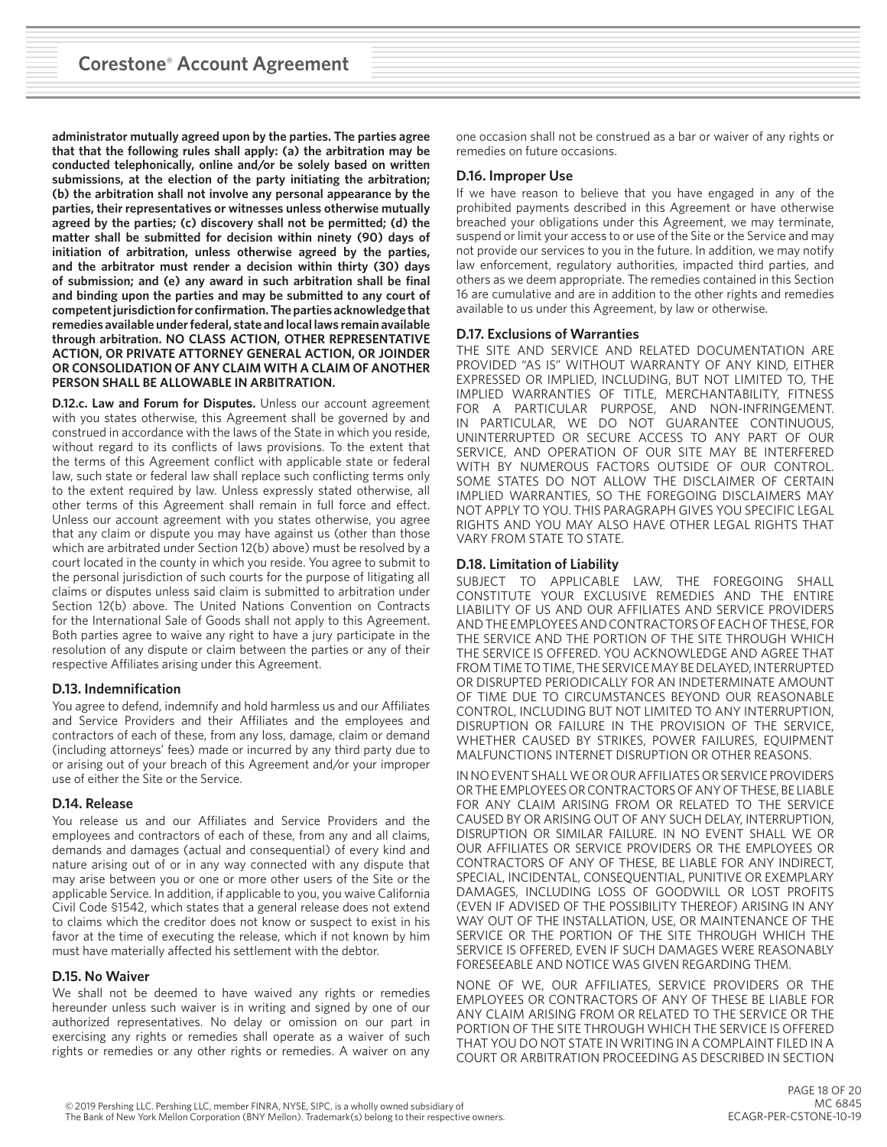**administrator mutually agreed upon by the parties. The parties agree that that the following rules shall apply: (a) the arbitration may be conducted telephonically, online and/or be solely based on written submissions, at the election of the party initiating the arbitration; (b) the arbitration shall not involve any personal appearance by the parties, their representatives or witnesses unless otherwise mutually agreed by the parties; (c) discovery shall not be permitted; (d) the matter shall be submitted for decision within ninety (90) days of initiation of arbitration, unless otherwise agreed by the parties, and the arbitrator must render a decision within thirty (30) days of submission; and (e) any award in such arbitration shall be final and binding upon the parties and may be submitted to any court of competent jurisdiction for confirmation. The parties acknowledge that remedies available under federal, state and local laws remain available through arbitration. NO CLASS ACTION, OTHER REPRESENTATIVE ACTION, OR PRIVATE ATTORNEY GENERAL ACTION, OR JOINDER OR CONSOLIDATION OF ANY CLAIM WITH A CLAIM OF ANOTHER PERSON SHALL BE ALLOWABLE IN ARBITRATION.** 

**D.12.c. Law and Forum for Disputes.** Unless our account agreement with you states otherwise, this Agreement shall be governed by and construed in accordance with the laws of the State in which you reside, without regard to its conflicts of laws provisions. To the extent that the terms of this Agreement conflict with applicable state or federal law, such state or federal law shall replace such conflicting terms only to the extent required by law. Unless expressly stated otherwise, all other terms of this Agreement shall remain in full force and effect. Unless our account agreement with you states otherwise, you agree that any claim or dispute you may have against us (other than those which are arbitrated under Section 12(b) above) must be resolved by a court located in the county in which you reside. You agree to submit to the personal jurisdiction of such courts for the purpose of litigating all claims or disputes unless said claim is submitted to arbitration under Section 12(b) above. The United Nations Convention on Contracts for the International Sale of Goods shall not apply to this Agreement. Both parties agree to waive any right to have a jury participate in the resolution of any dispute or claim between the parties or any of their respective Affiliates arising under this Agreement.

## **D.13. Indemnification**

You agree to defend, indemnify and hold harmless us and our Affiliates and Service Providers and their Affiliates and the employees and contractors of each of these, from any loss, damage, claim or demand (including attorneys' fees) made or incurred by any third party due to or arising out of your breach of this Agreement and/or your improper use of either the Site or the Service.

## **D.14. Release**

You release us and our Affiliates and Service Providers and the employees and contractors of each of these, from any and all claims, demands and damages (actual and consequential) of every kind and nature arising out of or in any way connected with any dispute that may arise between you or one or more other users of the Site or the applicable Service. In addition, if applicable to you, you waive California Civil Code §1542, which states that a general release does not extend to claims which the creditor does not know or suspect to exist in his favor at the time of executing the release, which if not known by him must have materially affected his settlement with the debtor.

## **D.15. No Waiver**

We shall not be deemed to have waived any rights or remedies hereunder unless such waiver is in writing and signed by one of our authorized representatives. No delay or omission on our part in exercising any rights or remedies shall operate as a waiver of such rights or remedies or any other rights or remedies. A waiver on any

one occasion shall not be construed as a bar or waiver of any rights or remedies on future occasions.

# **D.16. Improper Use**

If we have reason to believe that you have engaged in any of the prohibited payments described in this Agreement or have otherwise breached your obligations under this Agreement, we may terminate, suspend or limit your access to or use of the Site or the Service and may not provide our services to you in the future. In addition, we may notify law enforcement, regulatory authorities, impacted third parties, and others as we deem appropriate. The remedies contained in this Section 16 are cumulative and are in addition to the other rights and remedies available to us under this Agreement, by law or otherwise.

## **D.17. Exclusions of Warranties**

THE SITE AND SERVICE AND RELATED DOCUMENTATION ARE PROVIDED "AS IS" WITHOUT WARRANTY OF ANY KIND, EITHER EXPRESSED OR IMPLIED, INCLUDING, BUT NOT LIMITED TO, THE IMPLIED WARRANTIES OF TITLE, MERCHANTABILITY, FITNESS FOR A PARTICULAR PURPOSE, AND NON-INFRINGEMENT. IN PARTICULAR, WE DO NOT GUARANTEE CONTINUOUS, UNINTERRUPTED OR SECURE ACCESS TO ANY PART OF OUR SERVICE, AND OPERATION OF OUR SITE MAY BE INTERFERED WITH BY NUMEROUS FACTORS OUTSIDE OF OUR CONTROL. SOME STATES DO NOT ALLOW THE DISCLAIMER OF CERTAIN IMPLIED WARRANTIES, SO THE FOREGOING DISCLAIMERS MAY NOT APPLY TO YOU. THIS PARAGRAPH GIVES YOU SPECIFIC LEGAL RIGHTS AND YOU MAY ALSO HAVE OTHER LEGAL RIGHTS THAT VARY FROM STATE TO STATE.

## **D.18. Limitation of Liability**

SUBJECT TO APPLICABLE LAW, THE FOREGOING SHALL CONSTITUTE YOUR EXCLUSIVE REMEDIES AND THE ENTIRE LIABILITY OF US AND OUR AFFILIATES AND SERVICE PROVIDERS AND THE EMPLOYEES AND CONTRACTORS OF EACH OF THESE, FOR THE SERVICE AND THE PORTION OF THE SITE THROUGH WHICH THE SERVICE IS OFFERED. YOU ACKNOWLEDGE AND AGREE THAT FROM TIME TO TIME, THE SERVICE MAY BE DELAYED, INTERRUPTED OR DISRUPTED PERIODICALLY FOR AN INDETERMINATE AMOUNT OF TIME DUE TO CIRCUMSTANCES BEYOND OUR REASONABLE CONTROL, INCLUDING BUT NOT LIMITED TO ANY INTERRUPTION, DISRUPTION OR FAILURE IN THE PROVISION OF THE SERVICE, WHETHER CAUSED BY STRIKES, POWER FAILURES, EQUIPMENT MALFUNCTIONS INTERNET DISRUPTION OR OTHER REASONS.

IN NO EVENT SHALL WE OR OUR AFFILIATES OR SERVICE PROVIDERS OR THE EMPLOYEES OR CONTRACTORS OF ANY OF THESE, BE LIABLE FOR ANY CLAIM ARISING FROM OR RELATED TO THE SERVICE CAUSED BY OR ARISING OUT OF ANY SUCH DELAY, INTERRUPTION, DISRUPTION OR SIMILAR FAILURE. IN NO EVENT SHALL WE OR OUR AFFILIATES OR SERVICE PROVIDERS OR THE EMPLOYEES OR CONTRACTORS OF ANY OF THESE, BE LIABLE FOR ANY INDIRECT, SPECIAL, INCIDENTAL, CONSEQUENTIAL, PUNITIVE OR EXEMPLARY DAMAGES, INCLUDING LOSS OF GOODWILL OR LOST PROFITS (EVEN IF ADVISED OF THE POSSIBILITY THEREOF) ARISING IN ANY WAY OUT OF THE INSTALLATION, USE, OR MAINTENANCE OF THE SERVICE OR THE PORTION OF THE SITE THROUGH WHICH THE SERVICE IS OFFERED, EVEN IF SUCH DAMAGES WERE REASONABLY FORESEEABLE AND NOTICE WAS GIVEN REGARDING THEM.

NONE OF WE, OUR AFFILIATES, SERVICE PROVIDERS OR THE EMPLOYEES OR CONTRACTORS OF ANY OF THESE BE LIABLE FOR ANY CLAIM ARISING FROM OR RELATED TO THE SERVICE OR THE PORTION OF THE SITE THROUGH WHICH THE SERVICE IS OFFERED THAT YOU DO NOT STATE IN WRITING IN A COMPLAINT FILED IN A COURT OR ARBITRATION PROCEEDING AS DESCRIBED IN SECTION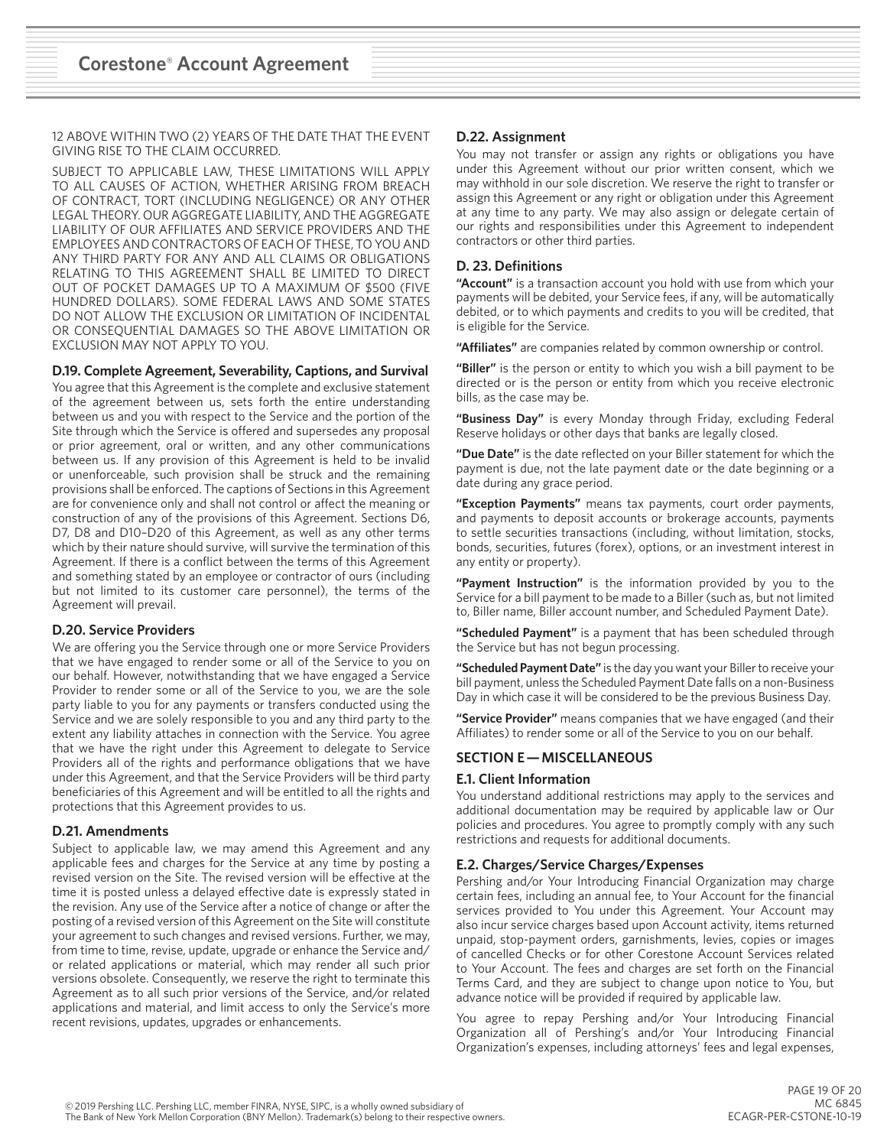12 ABOVE WITHIN TWO (2) YEARS OF THE DATE THAT THE EVENT GIVING RISE TO THE CLAIM OCCURRED.

SUBJECT TO APPLICABLE LAW, THESE LIMITATIONS WILL APPLY TO ALL CAUSES OF ACTION, WHETHER ARISING FROM BREACH OF CONTRACT, TORT (INCLUDING NEGLIGENCE) OR ANY OTHER LEGAL THEORY. OUR AGGREGATE LIABILITY, AND THE AGGREGATE LIABILITY OF OUR AFFILIATES AND SERVICE PROVIDERS AND THE EMPLOYEES AND CONTRACTORS OF EACH OF THESE, TO YOU AND ANY THIRD PARTY FOR ANY AND ALL CLAIMS OR OBLIGATIONS RELATING TO THIS AGREEMENT SHALL BE LIMITED TO DIRECT OUT OF POCKET DAMAGES UP TO A MAXIMUM OF \$500 (FIVE HUNDRED DOLLARS). SOME FEDERAL LAWS AND SOME STATES DO NOT ALLOW THE EXCLUSION OR LIMITATION OF INCIDENTAL OR CONSEQUENTIAL DAMAGES SO THE ABOVE LIMITATION OR EXCLUSION MAY NOT APPLY TO YOU.

#### **D.19. Complete Agreement, Severability, Captions, and Survival**

You agree that this Agreement is the complete and exclusive statement of the agreement between us, sets forth the entire understanding between us and you with respect to the Service and the portion of the Site through which the Service is offered and supersedes any proposal or prior agreement, oral or written, and any other communications between us. If any provision of this Agreement is held to be invalid or unenforceable, such provision shall be struck and the remaining provisions shall be enforced. The captions of Sections in this Agreement are for convenience only and shall not control or affect the meaning or construction of any of the provisions of this Agreement. Sections D6, D7, D8 and D10–D20 of this Agreement, as well as any other terms which by their nature should survive, will survive the termination of this Agreement. If there is a conflict between the terms of this Agreement and something stated by an employee or contractor of ours (including but not limited to its customer care personnel), the terms of the Agreement will prevail.

## **D.20. Service Providers**

We are offering you the Service through one or more Service Providers that we have engaged to render some or all of the Service to you on our behalf. However, notwithstanding that we have engaged a Service Provider to render some or all of the Service to you, we are the sole party liable to you for any payments or transfers conducted using the Service and we are solely responsible to you and any third party to the extent any liability attaches in connection with the Service. You agree that we have the right under this Agreement to delegate to Service Providers all of the rights and performance obligations that we have under this Agreement, and that the Service Providers will be third party beneficiaries of this Agreement and will be entitled to all the rights and protections that this Agreement provides to us.

## **D.21. Amendments**

Subject to applicable law, we may amend this Agreement and any applicable fees and charges for the Service at any time by posting a revised version on the Site. The revised version will be effective at the time it is posted unless a delayed effective date is expressly stated in the revision. Any use of the Service after a notice of change or after the posting of a revised version of this Agreement on the Site will constitute your agreement to such changes and revised versions. Further, we may, from time to time, revise, update, upgrade or enhance the Service and/ or related applications or material, which may render all such prior versions obsolete. Consequently, we reserve the right to terminate this Agreement as to all such prior versions of the Service, and/or related applications and material, and limit access to only the Service's more recent revisions, updates, upgrades or enhancements.

## **D.22. Assignment**

You may not transfer or assign any rights or obligations you have under this Agreement without our prior written consent, which we may withhold in our sole discretion. We reserve the right to transfer or assign this Agreement or any right or obligation under this Agreement at any time to any party. We may also assign or delegate certain of our rights and responsibilities under this Agreement to independent contractors or other third parties.

## **D. 23. Definitions**

**"Account"** is a transaction account you hold with use from which your payments will be debited, your Service fees, if any, will be automatically debited, or to which payments and credits to you will be credited, that is eligible for the Service.

**"Affiliates"** are companies related by common ownership or control.

**"Biller"** is the person or entity to which you wish a bill payment to be directed or is the person or entity from which you receive electronic bills, as the case may be.

**"Business Day"** is every Monday through Friday, excluding Federal Reserve holidays or other days that banks are legally closed.

**"Due Date"** is the date reflected on your Biller statement for which the payment is due, not the late payment date or the date beginning or a date during any grace period.

**"Exception Payments"** means tax payments, court order payments, and payments to deposit accounts or brokerage accounts, payments to settle securities transactions (including, without limitation, stocks, bonds, securities, futures (forex), options, or an investment interest in any entity or property).

**"Payment Instruction"** is the information provided by you to the Service for a bill payment to be made to a Biller (such as, but not limited to, Biller name, Biller account number, and Scheduled Payment Date).

**"Scheduled Payment"** is a payment that has been scheduled through the Service but has not begun processing.

**"Scheduled Payment Date"** is the day you want your Biller to receive your bill payment, unless the Scheduled Payment Date falls on a non-Business Day in which case it will be considered to be the previous Business Day.

**"Service Provider"** means companies that we have engaged (and their Affiliates) to render some or all of the Service to you on our behalf.

# **SECTION E — MISCELLANEOUS**

#### **E.1. Client Information**

You understand additional restrictions may apply to the services and additional documentation may be required by applicable law or Our policies and procedures. You agree to promptly comply with any such restrictions and requests for additional documents.

## **E.2. Charges/Service Charges/Expenses**

Pershing and/or Your Introducing Financial Organization may charge certain fees, including an annual fee, to Your Account for the financial services provided to You under this Agreement. Your Account may also incur service charges based upon Account activity, items returned unpaid, stop-payment orders, garnishments, levies, copies or images of cancelled Checks or for other Corestone Account Services related to Your Account. The fees and charges are set forth on the Financial Terms Card, and they are subject to change upon notice to You, but advance notice will be provided if required by applicable law.

You agree to repay Pershing and/or Your Introducing Financial Organization all of Pershing's and/or Your Introducing Financial Organization's expenses, including attorneys' fees and legal expenses,